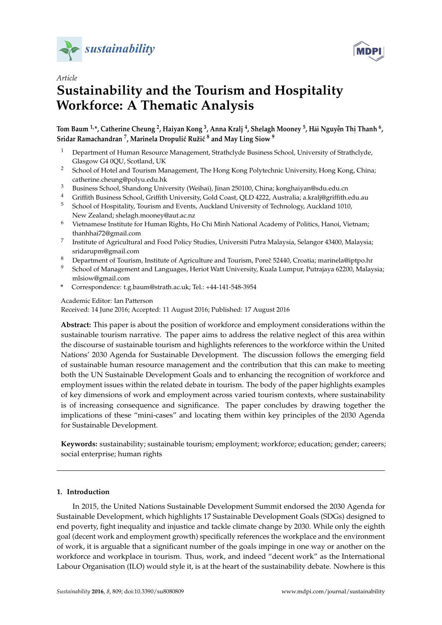



# *Article* **Sustainability and the Tourism and Hospitality Workforce: A Thematic Analysis Workforce: A Thematic Analysis Workforce: A Thematic Analysis Sustainability and the Tourism and Hospitality Sustainability and the Tourism and Hospitality**

,<sup>6</sup> Tom Baum <sup>1,</sup>\*, Catherine Cheung <sup>2</sup>, Haiyan Kong <sup>3</sup>, Anna Kralj <sup>4</sup>, Shelagh Mooney <sup>5</sup>, Hải Nguyễn Thị Thanh Sridar Ramachandran <sup>7</sup>, Marinela Dropulić Ružić <sup>8</sup> and May Ling Siow <sup>9</sup> ˙

- $^1$  Department of Human Resource Management, Strathclyde Business School, University of Strathclyde, Glasgow G4 0QU, Scotland, UK Glasgow G4 0QU, Scotland, UK Glasgow G4 0QU, Scotland, UK
- <sup>2</sup> School of Hotel and Tourism Management, The Hong Kong Polytechnic University, Hong Kong, China; catherine.cheung@polyu.edu.hk catherine.cheung@polyu.edu.hk catherine.cheung@polyu.edu.hk
- $^3$  Business School, Shandong University (Weihai), Jinan 250100, China; konghaiyan@sdu.edu.cn
- $^4$  Griffith Business School, Griffith University, Gold Coast, QLD 4222, Australia; a.kralj@griffith.edu.au
- <sup>5</sup> School of Hospitality, Tourism and Events, Auckland University of Technology, Auckland 1010, New Zealand; shelagh.mooney@aut.ac.nz land; shelagh.mooney@aut.ac.nz
- $^6$  Vietnamese Institute for Human Rights, Ho Chi Minh National Academy of Politics, Hanoi, Vietnam; thanhhai72@gmail.com thanhhai72@gmail.com thanhhai72@gmail.com
- Institute of Agricultural and Food Policy Studies, Universiti Putra Malaysia, Selangor 43400, Malaysia; sridarupm@gmail.com sridarupm@gmail.com sridarupm@gmail.com 7
- $^8$  Department of Tourism, Institute of Agriculture and Tourism, Poreč 52440, Croatia; marinela@iptpo.hr
- $^9$  School of Management and Languages, Heriot Watt University, Kuala Lumpur, Putrajaya 62200, Malaysia; mlsiow@gmail.com mlsiow@gmail.com mlsiow@gmail.com
- \* Correspondence: t.g.baum@strath.ac.uk; Tel.: +44-141-548-3954 \* Correspondence: t.g.baum@strath.ac.uk; Tel.: +44-141-548-3954 **\*** Correspondence: t.g.baum@strath.ac.uk; Tel.: +44-141-548-3954

Academic Editor: Ian Patterson

 $\Lambda$  Lesson 2016;  $\Lambda$  accorded 11  $\Lambda$  $\begin{bmatrix} 1 & 0 \\ 0 & 1 \end{bmatrix}$  $\Lambda$  Line  $\Omega$ 016: Accordo di 11 Ac Received: 14 June 2016; Accepted: 11 August 2016; Published: 17 August 2016<br>.

sustainable tourism narrative. The paper aims to address the relative neglect of this area within the discourse of sustainable tourism and highlights references to the workforce within the United Nations' 2030 Agenda for Sustainable Development. The discussion follows the emerging field of sustainable human resource management and the contribution that this can make to meeting both the UN Sustainable Development Goals and to enhancing the recognition of workforce and employment issues within the related debate in tourism. The body of the paper highlights examples of key dimensions of work and employment across varied tourism contexts, where sustainability is of increasing consequence and significance. The paper concludes by drawing together the implications of these "mini-cases" and locating them within key principles of the 2030 Agenda for Sustainable Development. **Abstract:** This paper is about the position of workforce and employment considerations within the

social enterprise; human rights successive and social enterprise of the set of the set of the set of the set o **Keywords:** sustainability; sustainable tourism; employment; workforce; education; gender; careers;

# <span id="page-0-0"></span>**1. Introduction**

**In 2015, the United Nations Sustainable Development Summit endorsed the 2030 Agenda for** Sustainable Development, which highlights 17 Sustainable Development Goals (SDGs) designed to end poverty, fight inequality and injustice and tackle climate change by 2030. While only the eighth goal (decent work and employment growth) specifically references the workplace and the environment of work, it is arguable that a significant number of the goals impinge in one way or another on the workforce and workplace in tourism. Thus, work, and indeed "decent work" as the International Labour Organisation (ILO) would style it, is at the heart of the sustainability debate. Nowhere is this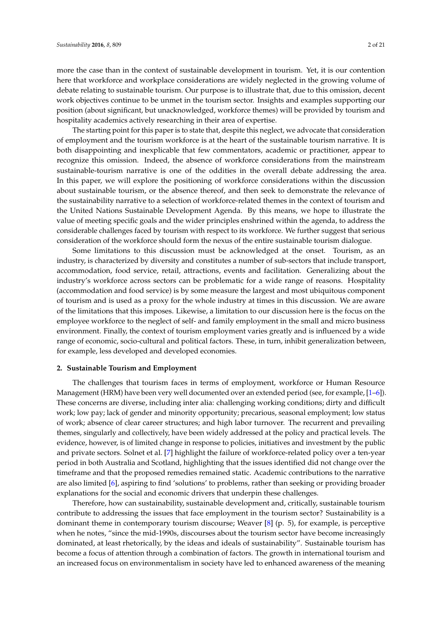more the case than in the context of sustainable development in tourism. Yet, it is our contention here that workforce and workplace considerations are widely neglected in the growing volume of debate relating to sustainable tourism. Our purpose is to illustrate that, due to this omission, decent work objectives continue to be unmet in the tourism sector. Insights and examples supporting our position (about significant, but unacknowledged, workforce themes) will be provided by tourism and hospitality academics actively researching in their area of expertise.

The starting point for this paper is to state that, despite this neglect, we advocate that consideration of employment and the tourism workforce is at the heart of the sustainable tourism narrative. It is both disappointing and inexplicable that few commentators, academic or practitioner, appear to recognize this omission. Indeed, the absence of workforce considerations from the mainstream sustainable-tourism narrative is one of the oddities in the overall debate addressing the area. In this paper, we will explore the positioning of workforce considerations within the discussion about sustainable tourism, or the absence thereof, and then seek to demonstrate the relevance of the sustainability narrative to a selection of workforce-related themes in the context of tourism and the United Nations Sustainable Development Agenda. By this means, we hope to illustrate the value of meeting specific goals and the wider principles enshrined within the agenda, to address the considerable challenges faced by tourism with respect to its workforce. We further suggest that serious consideration of the workforce should form the nexus of the entire sustainable tourism dialogue.

Some limitations to this discussion must be acknowledged at the onset. Tourism, as an industry, is characterized by diversity and constitutes a number of sub-sectors that include transport, accommodation, food service, retail, attractions, events and facilitation. Generalizing about the industry's workforce across sectors can be problematic for a wide range of reasons. Hospitality (accommodation and food service) is by some measure the largest and most ubiquitous component of tourism and is used as a proxy for the whole industry at times in this discussion. We are aware of the limitations that this imposes. Likewise, a limitation to our discussion here is the focus on the employee workforce to the neglect of self- and family employment in the small and micro business environment. Finally, the context of tourism employment varies greatly and is influenced by a wide range of economic, socio-cultural and political factors. These, in turn, inhibit generalization between, for example, less developed and developed economies.

### <span id="page-1-0"></span>**2. Sustainable Tourism and Employment**

The challenges that tourism faces in terms of employment, workforce or Human Resource Management (HRM) have been very well documented over an extended period (see, for example, [\[1–](#page-14-0)[6\]](#page-14-1)). These concerns are diverse, including inter alia: challenging working conditions; dirty and difficult work; low pay; lack of gender and minority opportunity; precarious, seasonal employment; low status of work; absence of clear career structures; and high labor turnover. The recurrent and prevailing themes, singularly and collectively, have been widely addressed at the policy and practical levels. The evidence, however, is of limited change in response to policies, initiatives and investment by the public and private sectors. Solnet et al. [\[7\]](#page-14-2) highlight the failure of workforce-related policy over a ten-year period in both Australia and Scotland, highlighting that the issues identified did not change over the timeframe and that the proposed remedies remained static. Academic contributions to the narrative are also limited [\[6\]](#page-14-1), aspiring to find 'solutions' to problems, rather than seeking or providing broader explanations for the social and economic drivers that underpin these challenges.

Therefore, how can sustainability, sustainable development and, critically, sustainable tourism contribute to addressing the issues that face employment in the tourism sector? Sustainability is a dominant theme in contemporary tourism discourse; Weaver [\[8\]](#page-14-3) (p. 5), for example, is perceptive when he notes, "since the mid-1990s, discourses about the tourism sector have become increasingly dominated, at least rhetorically, by the ideas and ideals of sustainability". Sustainable tourism has become a focus of attention through a combination of factors. The growth in international tourism and an increased focus on environmentalism in society have led to enhanced awareness of the meaning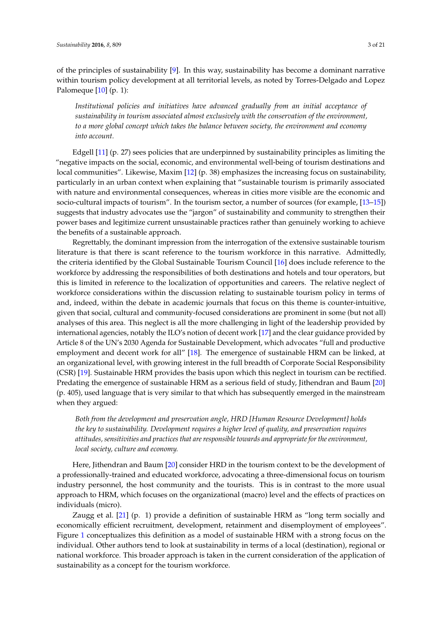of the principles of sustainability [\[9\]](#page-14-4). In this way, sustainability has become a dominant narrative within tourism policy development at all territorial levels, as noted by Torres-Delgado and Lopez Palomeque [\[10\]](#page-14-5) (p. 1):

*Institutional policies and initiatives have advanced gradually from an initial acceptance of sustainability in tourism associated almost exclusively with the conservation of the environment, to a more global concept which takes the balance between society, the environment and economy into account.*

Edgell [\[11\]](#page-14-6) (p. 27) sees policies that are underpinned by sustainability principles as limiting the "negative impacts on the social, economic, and environmental well-being of tourism destinations and local communities". Likewise, Maxim [\[12\]](#page-14-7) (p. 38) emphasizes the increasing focus on sustainability, particularly in an urban context when explaining that "sustainable tourism is primarily associated with nature and environmental consequences, whereas in cities more visible are the economic and socio-cultural impacts of tourism". In the tourism sector, a number of sources (for example, [\[13](#page-14-8)[–15\]](#page-14-9)) suggests that industry advocates use the "jargon" of sustainability and community to strengthen their power bases and legitimize current unsustainable practices rather than genuinely working to achieve the benefits of a sustainable approach.

Regrettably, the dominant impression from the interrogation of the extensive sustainable tourism literature is that there is scant reference to the tourism workforce in this narrative. Admittedly, the criteria identified by the Global Sustainable Tourism Council [\[16\]](#page-14-10) does include reference to the workforce by addressing the responsibilities of both destinations and hotels and tour operators, but this is limited in reference to the localization of opportunities and careers. The relative neglect of workforce considerations within the discussion relating to sustainable tourism policy in terms of and, indeed, within the debate in academic journals that focus on this theme is counter-intuitive, given that social, cultural and community-focused considerations are prominent in some (but not all) analyses of this area. This neglect is all the more challenging in light of the leadership provided by international agencies, notably the ILO's notion of decent work [\[17\]](#page-14-11) and the clear guidance provided by Article 8 of the UN's 2030 Agenda for Sustainable Development, which advocates "full and productive employment and decent work for all" [\[18\]](#page-15-0). The emergence of sustainable HRM can be linked, at an organizational level, with growing interest in the full breadth of Corporate Social Responsibility (CSR) [\[19\]](#page-15-1). Sustainable HRM provides the basis upon which this neglect in tourism can be rectified. Predating the emergence of sustainable HRM as a serious field of study, Jithendran and Baum [\[20\]](#page-15-2) (p. 405), used language that is very similar to that which has subsequently emerged in the mainstream when they argued:

*Both from the development and preservation angle, HRD [Human Resource Development] holds the key to sustainability. Development requires a higher level of quality, and preservation requires attitudes, sensitivities and practices that are responsible towards and appropriate for the environment, local society, culture and economy.*

Here, Jithendran and Baum [\[20\]](#page-15-2) consider HRD in the tourism context to be the development of a professionally-trained and educated workforce, advocating a three-dimensional focus on tourism industry personnel, the host community and the tourists. This is in contrast to the more usual approach to HRM, which focuses on the organizational (macro) level and the effects of practices on individuals (micro).

Zaugg et al. [\[21\]](#page-15-3) (p. 1) provide a definition of sustainable HRM as "long term socially and economically efficient recruitment, development, retainment and disemployment of employees". Figure [1](#page-3-0) conceptualizes this definition as a model of sustainable HRM with a strong focus on the individual. Other authors tend to look at sustainability in terms of a local (destination), regional or national workforce. This broader approach is taken in the current consideration of the application of sustainability as a concept for the tourism workforce.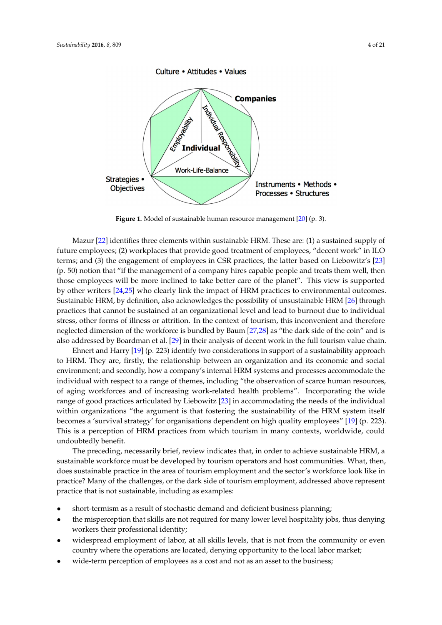<span id="page-3-0"></span>

**Figure 1.** Model of sustainable human resource management [20] (p. 3). **Figure 1.** Model of sustainable human resource management [\[20\]](#page-15-2) (p. 3).

 $\mathbf{r}$  (p. 223) is two constant and Harry  $\mathbf{r}$  is two constant of a sustainability two constants in sustainability two constants in support of a sustainability of a sustainability of a sustainability of a sustainabi Mazur [\[22\]](#page-15-4) identifies three elements within sustainable HRM. These are: (1) a sustained supply of future employees; (2) workplaces that provide good treatment of employees, "decent work" in ILO terms; and (3) the engagement of employees in CSR practices, the latter based on Liebowitz's [\[23\]](#page-15-5) the observation of scarce in CSR practices, the latter based on Liebowitz's [23] (p. 50) notion that "if the management of a company hires capable people and treats them well, then  $\cdot$ those employees will be more inclined to take better care of the planet". This view is supported in accommodating the planet of the planet of the planet of the planet of the planet of the planet of the planet of the suppor by other writers [\[24,](#page-15-6)[25\]](#page-15-7) who clearly link the impact of HRM practices to environmental outcomes.<br>Contribution the sustainability of the intervention of the sustainability of the sustainability of the sustain Sustainable HRM, by definition, also acknowledges the possibility of unsustainable HRM [\[26\]](#page-15-8) through  $\,$ practices that cannot be sustained at an organizational level and lead to burnout due to individual practices stress, other forms of illness or attrition. In the context of tourism, this inconvenient and therefore neglected dimension of the workforce is bundled by Baum [\[27,](#page-15-9)[28\]](#page-15-10) as "the dark side of the coin" and is in the matter of the coin" and is in the cointersustainable workforce must be developed by tourism operators and host communities. What, then, also addressed by Boardman et al. [\[29\]](#page-15-11) in their analysis of decent work in the full tourism value chain.

Ehnert and Harry [\[19\]](#page-15-1) (p. 223) identify two considerations in support of a sustainability approach to HRM. They are, firstly, the relationship between an organization and its economic and social environment; and secondly, how a company's internal HRM systems and processes accommodate the of aging workforces and of increasing work-related health problems". Incorporating the wide range of good practices articulated by Liebowitz [\[23\]](#page-15-5) in accommodating the needs of the individual within organizations "the argument is that fostering the sustainability of the HRM system itself becomes a 'survival strategy' for organisations dependent on high quality employees" [\[19\]](#page-15-1) (p. 223). This is a perception of HRM practices from which tourism in many contexts, worldwide, could undoubtedly benefit. The business as a cost and not as a cost and not as an asset to the business; in the business;  $\frac{1}{2}$ individual with respect to a range of themes, including "the observation of scarce human resources,

The preceding, necessarily brief, review indicates that, in order to achieve sustainable HRM, a sustainable workforce must be developed by tourism operators and host communities. What, then, does sustainable practice in the area of tourism employment and the sector's workforce look like in practice? Many of the challenges, or the dark side of tourism employment, addressed above represent practice that is not sustainable, including as examples:

- short-termism as a result of stochastic demand and deficient business planning;
- the misperception that skills are not required for many lower level hospitality jobs, thus denying workers their professional identity;
- widespread employment of labor, at all skills levels, that is not from the community or even country where the operations are located, denying opportunity to the local labor market;
- wide-term perception of employees as a cost and not as an asset to the business;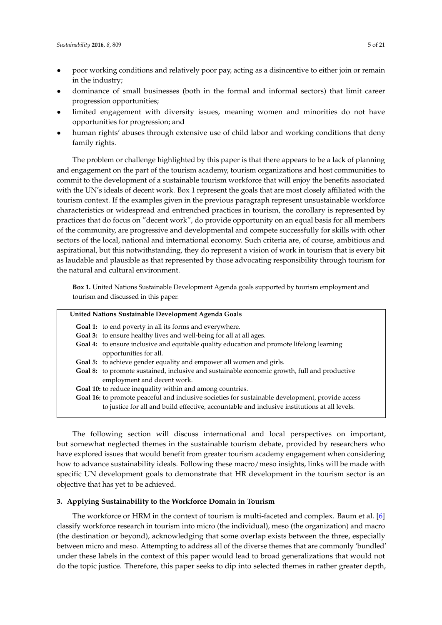- poor working conditions and relatively poor pay, acting as a disincentive to either join or remain in the industry;
- dominance of small businesses (both in the formal and informal sectors) that limit career progression opportunities;
- limited engagement with diversity issues, meaning women and minorities do not have opportunities for progression; and
- human rights' abuses through extensive use of child labor and working conditions that deny family rights.

The problem or challenge highlighted by this paper is that there appears to be a lack of planning and engagement on the part of the tourism academy, tourism organizations and host communities to commit to the development of a sustainable tourism workforce that will enjoy the benefits associated with the UN's ideals of decent work. Box 1 represent the goals that are most closely affiliated with the tourism context. If the examples given in the previous paragraph represent unsustainable workforce characteristics or widespread and entrenched practices in tourism, the corollary is represented by practices that do focus on "decent work", do provide opportunity on an equal basis for all members of the community, are progressive and developmental and compete successfully for skills with other sectors of the local, national and international economy. Such criteria are, of course, ambitious and aspirational, but this notwithstanding, they do represent a vision of work in tourism that is every bit as laudable and plausible as that represented by those advocating responsibility through tourism for the natural and cultural environment.

**Box 1.** United Nations Sustainable Development Agenda goals supported by tourism employment and tourism and discussed in this paper.

# **United Nations Sustainable Development Agenda Goals Goal 1:** to end poverty in all its forms and everywhere.

- Goal 3: to ensure healthy lives and well-being for all at all ages.
- **Goal 4:** to ensure inclusive and equitable quality education and promote lifelong learning opportunities for all.
- **Goal 5:** to achieve gender equality and empower all women and girls.
- **Goal 8:** to promote sustained, inclusive and sustainable economic growth, full and productive employment and decent work.
- **Goal 10:** to reduce inequality within and among countries.
- **Goal 16:** to promote peaceful and inclusive societies for sustainable development, provide access to justice for all and build effective, accountable and inclusive institutions at all levels.

The following section will discuss international and local perspectives on important, but somewhat neglected themes in the sustainable tourism debate, provided by researchers who have explored issues that would benefit from greater tourism academy engagement when considering how to advance sustainability ideals. Following these macro/meso insights, links will be made with specific UN development goals to demonstrate that HR development in the tourism sector is an objective that has yet to be achieved.

# <span id="page-4-0"></span>**3. Applying Sustainability to the Workforce Domain in Tourism**

The workforce or HRM in the context of tourism is multi-faceted and complex. Baum et al. [\[6\]](#page-14-1) classify workforce research in tourism into micro (the individual), meso (the organization) and macro (the destination or beyond), acknowledging that some overlap exists between the three, especially between micro and meso. Attempting to address all of the diverse themes that are commonly 'bundled' under these labels in the context of this paper would lead to broad generalizations that would not do the topic justice. Therefore, this paper seeks to dip into selected themes in rather greater depth,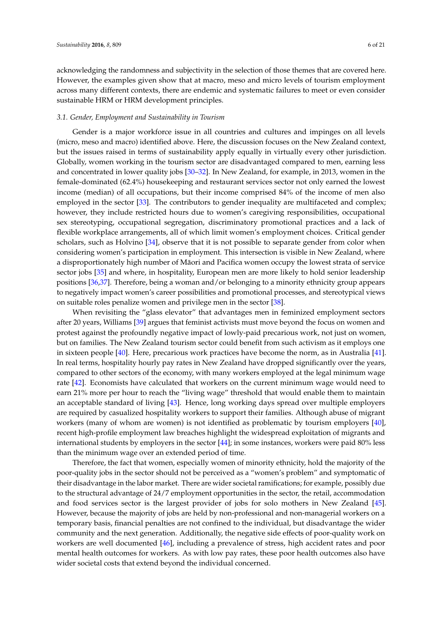acknowledging the randomness and subjectivity in the selection of those themes that are covered here. However, the examples given show that at macro, meso and micro levels of tourism employment across many different contexts, there are endemic and systematic failures to meet or even consider sustainable HRM or HRM development principles.

#### *3.1. Gender, Employment and Sustainability in Tourism*

Gender is a major workforce issue in all countries and cultures and impinges on all levels (micro, meso and macro) identified above. Here, the discussion focuses on the New Zealand context, but the issues raised in terms of sustainability apply equally in virtually every other jurisdiction. Globally, women working in the tourism sector are disadvantaged compared to men, earning less and concentrated in lower quality jobs [\[30](#page-15-12)[–32\]](#page-15-13). In New Zealand, for example, in 2013, women in the female-dominated (62.4%) housekeeping and restaurant services sector not only earned the lowest income (median) of all occupations, but their income comprised 84% of the income of men also employed in the sector [\[33\]](#page-15-14). The contributors to gender inequality are multifaceted and complex; however, they include restricted hours due to women's caregiving responsibilities, occupational sex stereotyping, occupational segregation, discriminatory promotional practices and a lack of flexible workplace arrangements, all of which limit women's employment choices. Critical gender scholars, such as Holvino [\[34\]](#page-15-15), observe that it is not possible to separate gender from color when considering women's participation in employment. This intersection is visible in New Zealand, where a disproportionately high number of Māori and Pacifica women occupy the lowest strata of service sector jobs [\[35\]](#page-15-16) and where, in hospitality, European men are more likely to hold senior leadership positions [\[36](#page-15-17)[,37\]](#page-15-18). Therefore, being a woman and/or belonging to a minority ethnicity group appears to negatively impact women's career possibilities and promotional processes, and stereotypical views on suitable roles penalize women and privilege men in the sector [\[38\]](#page-15-19).

When revisiting the "glass elevator" that advantages men in feminized employment sectors after 20 years, Williams [\[39\]](#page-15-20) argues that feminist activists must move beyond the focus on women and protest against the profoundly negative impact of lowly-paid precarious work, not just on women, but on families. The New Zealand tourism sector could benefit from such activism as it employs one in sixteen people [\[40\]](#page-15-21). Here, precarious work practices have become the norm, as in Australia [\[41\]](#page-15-22). In real terms, hospitality hourly pay rates in New Zealand have dropped significantly over the years, compared to other sectors of the economy, with many workers employed at the legal minimum wage rate [\[42\]](#page-15-23). Economists have calculated that workers on the current minimum wage would need to earn 21% more per hour to reach the "living wage" threshold that would enable them to maintain an acceptable standard of living [\[43\]](#page-16-0). Hence, long working days spread over multiple employers are required by casualized hospitality workers to support their families. Although abuse of migrant workers (many of whom are women) is not identified as problematic by tourism employers [\[40\]](#page-15-21), recent high-profile employment law breaches highlight the widespread exploitation of migrants and international students by employers in the sector [\[44\]](#page-16-1); in some instances, workers were paid 80% less than the minimum wage over an extended period of time.

Therefore, the fact that women, especially women of minority ethnicity, hold the majority of the poor-quality jobs in the sector should not be perceived as a "women's problem" and symptomatic of their disadvantage in the labor market. There are wider societal ramifications; for example, possibly due to the structural advantage of 24/7 employment opportunities in the sector, the retail, accommodation and food services sector is the largest provider of jobs for solo mothers in New Zealand [\[45\]](#page-16-2). However, because the majority of jobs are held by non-professional and non-managerial workers on a temporary basis, financial penalties are not confined to the individual, but disadvantage the wider community and the next generation. Additionally, the negative side effects of poor-quality work on workers are well documented [\[46\]](#page-16-3), including a prevalence of stress, high accident rates and poor mental health outcomes for workers. As with low pay rates, these poor health outcomes also have wider societal costs that extend beyond the individual concerned.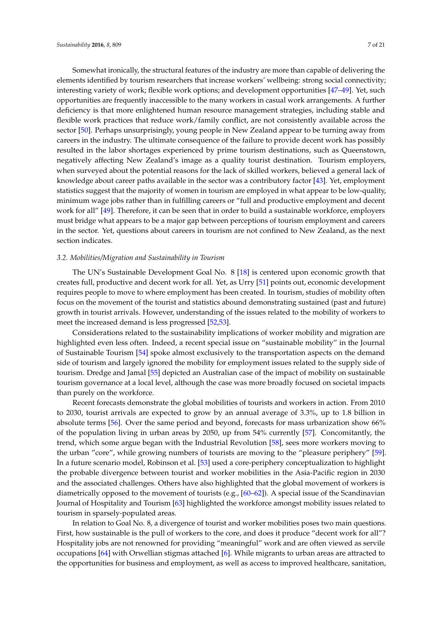Somewhat ironically, the structural features of the industry are more than capable of delivering the elements identified by tourism researchers that increase workers' wellbeing: strong social connectivity; interesting variety of work; flexible work options; and development opportunities [\[47](#page-16-4)[–49\]](#page-16-5). Yet, such opportunities are frequently inaccessible to the many workers in casual work arrangements. A further deficiency is that more enlightened human resource management strategies, including stable and flexible work practices that reduce work/family conflict, are not consistently available across the sector [\[50\]](#page-16-6). Perhaps unsurprisingly, young people in New Zealand appear to be turning away from careers in the industry. The ultimate consequence of the failure to provide decent work has possibly resulted in the labor shortages experienced by prime tourism destinations, such as Queenstown, negatively affecting New Zealand's image as a quality tourist destination. Tourism employers, when surveyed about the potential reasons for the lack of skilled workers, believed a general lack of knowledge about career paths available in the sector was a contributory factor [\[43\]](#page-16-0). Yet, employment statistics suggest that the majority of women in tourism are employed in what appear to be low-quality, minimum wage jobs rather than in fulfilling careers or "full and productive employment and decent work for all" [\[49\]](#page-16-5). Therefore, it can be seen that in order to build a sustainable workforce, employers must bridge what appears to be a major gap between perceptions of tourism employment and careers in the sector. Yet, questions about careers in tourism are not confined to New Zealand, as the next section indicates.

#### *3.2. Mobilities/Migration and Sustainability in Tourism*

The UN's Sustainable Development Goal No. 8 [\[18\]](#page-15-0) is centered upon economic growth that creates full, productive and decent work for all. Yet, as Urry [\[51\]](#page-16-7) points out, economic development requires people to move to where employment has been created. In tourism, studies of mobility often focus on the movement of the tourist and statistics abound demonstrating sustained (past and future) growth in tourist arrivals. However, understanding of the issues related to the mobility of workers to meet the increased demand is less progressed [\[52,](#page-16-8)[53\]](#page-16-9).

Considerations related to the sustainability implications of worker mobility and migration are highlighted even less often. Indeed, a recent special issue on "sustainable mobility" in the Journal of Sustainable Tourism [\[54\]](#page-16-10) spoke almost exclusively to the transportation aspects on the demand side of tourism and largely ignored the mobility for employment issues related to the supply side of tourism. Dredge and Jamal [\[55\]](#page-16-11) depicted an Australian case of the impact of mobility on sustainable tourism governance at a local level, although the case was more broadly focused on societal impacts than purely on the workforce.

Recent forecasts demonstrate the global mobilities of tourists and workers in action. From 2010 to 2030, tourist arrivals are expected to grow by an annual average of 3.3%, up to 1.8 billion in absolute terms [\[56\]](#page-16-12). Over the same period and beyond, forecasts for mass urbanization show 66% of the population living in urban areas by 2050, up from 54% currently [\[57\]](#page-16-13). Concomitantly, the trend, which some argue began with the Industrial Revolution [\[58\]](#page-16-14), sees more workers moving to the urban "core", while growing numbers of tourists are moving to the "pleasure periphery" [\[59\]](#page-16-15). In a future scenario model, Robinson et al. [\[53\]](#page-16-9) used a core-periphery conceptualization to highlight the probable divergence between tourist and worker mobilities in the Asia-Pacific region in 2030 and the associated challenges. Others have also highlighted that the global movement of workers is diametrically opposed to the movement of tourists (e.g., [\[60–](#page-16-16)[62\]](#page-16-17)). A special issue of the Scandinavian Journal of Hospitality and Tourism [\[63\]](#page-16-18) highlighted the workforce amongst mobility issues related to tourism in sparsely-populated areas.

In relation to Goal No. 8, a divergence of tourist and worker mobilities poses two main questions. First, how sustainable is the pull of workers to the core, and does it produce "decent work for all"? Hospitality jobs are not renowned for providing "meaningful" work and are often viewed as servile occupations [\[64\]](#page-16-19) with Orwellian stigmas attached [\[6\]](#page-14-1). While migrants to urban areas are attracted to the opportunities for business and employment, as well as access to improved healthcare, sanitation,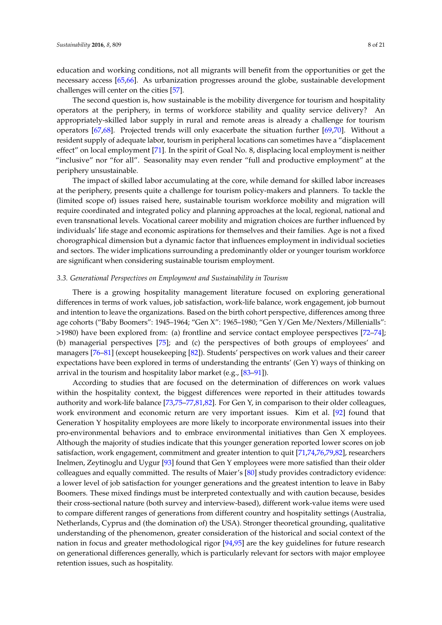education and working conditions, not all migrants will benefit from the opportunities or get the necessary access [\[65,](#page-16-20)[66\]](#page-16-21). As urbanization progresses around the globe, sustainable development challenges will center on the cities [\[57\]](#page-16-13).

The second question is, how sustainable is the mobility divergence for tourism and hospitality operators at the periphery, in terms of workforce stability and quality service delivery? An appropriately-skilled labor supply in rural and remote areas is already a challenge for tourism operators [\[67,](#page-16-22)[68\]](#page-16-23). Projected trends will only exacerbate the situation further [\[69,](#page-17-0)[70\]](#page-17-1). Without a resident supply of adequate labor, tourism in peripheral locations can sometimes have a "displacement effect" on local employment [\[71\]](#page-17-2). In the spirit of Goal No. 8, displacing local employment is neither "inclusive" nor "for all". Seasonality may even render "full and productive employment" at the periphery unsustainable.

The impact of skilled labor accumulating at the core, while demand for skilled labor increases at the periphery, presents quite a challenge for tourism policy-makers and planners. To tackle the (limited scope of) issues raised here, sustainable tourism workforce mobility and migration will require coordinated and integrated policy and planning approaches at the local, regional, national and even transnational levels. Vocational career mobility and migration choices are further influenced by individuals' life stage and economic aspirations for themselves and their families. Age is not a fixed chorographical dimension but a dynamic factor that influences employment in individual societies and sectors. The wider implications surrounding a predominantly older or younger tourism workforce are significant when considering sustainable tourism employment.

#### *3.3. Generational Perspectives on Employment and Sustainability in Tourism*

There is a growing hospitality management literature focused on exploring generational differences in terms of work values, job satisfaction, work-life balance, work engagement, job burnout and intention to leave the organizations. Based on the birth cohort perspective, differences among three age cohorts ("Baby Boomers": 1945–1964; "Gen X": 1965–1980; "Gen Y/Gen Me/Nexters/Millenialls": >1980) have been explored from: (a) frontline and service contact employee perspectives [\[72](#page-17-3)[–74\]](#page-17-4); (b) managerial perspectives [\[75\]](#page-17-5); and (c) the perspectives of both groups of employees' and managers [\[76](#page-17-6)[–81\]](#page-17-7) (except housekeeping [\[82\]](#page-17-8)). Students' perspectives on work values and their career expectations have been explored in terms of understanding the entrants' (Gen Y) ways of thinking on arrival in the tourism and hospitality labor market (e.g., [83-[91\]](#page-17-10)).

According to studies that are focused on the determination of differences on work values within the hospitality context, the biggest differences were reported in their attitudes towards authority and work-life balance [\[73](#page-17-11)[,75–](#page-17-5)[77](#page-17-12)[,81](#page-17-7)[,82\]](#page-17-8). For Gen Y, in comparison to their older colleagues, work environment and economic return are very important issues. Kim et al. [\[92\]](#page-17-13) found that Generation Y hospitality employees are more likely to incorporate environmental issues into their pro-environmental behaviors and to embrace environmental initiatives than Gen X employees. Although the majority of studies indicate that this younger generation reported lower scores on job satisfaction, work engagement, commitment and greater intention to quit [\[71](#page-17-2)[,74,](#page-17-4)[76,](#page-17-6)[79,](#page-17-14)[82\]](#page-17-8), researchers Inelmen, Zeytinoglu and Uygur [\[93\]](#page-18-0) found that Gen Y employees were more satisfied than their older colleagues and equally committed. The results of Maier's [\[80\]](#page-17-15) study provides contradictory evidence: a lower level of job satisfaction for younger generations and the greatest intention to leave in Baby Boomers. These mixed findings must be interpreted contextually and with caution because, besides their cross-sectional nature (both survey and interview-based), different work-value items were used to compare different ranges of generations from different country and hospitality settings (Australia, Netherlands, Cyprus and (the domination of) the USA). Stronger theoretical grounding, qualitative understanding of the phenomenon, greater consideration of the historical and social context of the nation in focus and greater methodological rigor [\[94](#page-18-1)[,95\]](#page-18-2) are the key guidelines for future research on generational differences generally, which is particularly relevant for sectors with major employee retention issues, such as hospitality.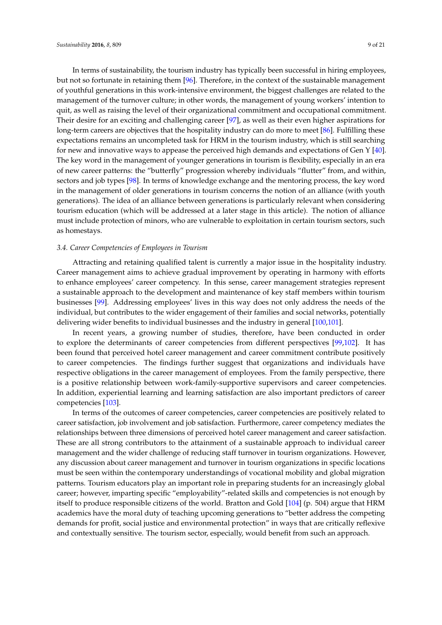In terms of sustainability, the tourism industry has typically been successful in hiring employees, but not so fortunate in retaining them [\[96\]](#page-18-3). Therefore, in the context of the sustainable management of youthful generations in this work-intensive environment, the biggest challenges are related to the management of the turnover culture; in other words, the management of young workers' intention to quit, as well as raising the level of their organizational commitment and occupational commitment. Their desire for an exciting and challenging career [\[97\]](#page-18-4), as well as their even higher aspirations for long-term careers are objectives that the hospitality industry can do more to meet [\[86\]](#page-17-16). Fulfilling these expectations remains an uncompleted task for HRM in the tourism industry, which is still searching for new and innovative ways to appease the perceived high demands and expectations of Gen Y [\[40\]](#page-15-21). The key word in the management of younger generations in tourism is flexibility, especially in an era of new career patterns: the "butterfly" progression whereby individuals "flutter" from, and within, sectors and job types [\[98\]](#page-18-5). In terms of knowledge exchange and the mentoring process, the key word in the management of older generations in tourism concerns the notion of an alliance (with youth generations). The idea of an alliance between generations is particularly relevant when considering tourism education (which will be addressed at a later stage in this article). The notion of alliance must include protection of minors, who are vulnerable to exploitation in certain tourism sectors, such as homestays.

#### *3.4. Career Competencies of Employees in Tourism*

Attracting and retaining qualified talent is currently a major issue in the hospitality industry. Career management aims to achieve gradual improvement by operating in harmony with efforts to enhance employees' career competency. In this sense, career management strategies represent a sustainable approach to the development and maintenance of key staff members within tourism businesses [\[99\]](#page-18-6). Addressing employees' lives in this way does not only address the needs of the individual, but contributes to the wider engagement of their families and social networks, potentially delivering wider benefits to individual businesses and the industry in general [\[100,](#page-18-7)[101\]](#page-18-8).

In recent years, a growing number of studies, therefore, have been conducted in order to explore the determinants of career competencies from different perspectives [\[99](#page-18-6)[,102\]](#page-18-9). It has been found that perceived hotel career management and career commitment contribute positively to career competencies. The findings further suggest that organizations and individuals have respective obligations in the career management of employees. From the family perspective, there is a positive relationship between work-family-supportive supervisors and career competencies. In addition, experiential learning and learning satisfaction are also important predictors of career competencies [\[103\]](#page-18-10).

In terms of the outcomes of career competencies, career competencies are positively related to career satisfaction, job involvement and job satisfaction. Furthermore, career competency mediates the relationships between three dimensions of perceived hotel career management and career satisfaction. These are all strong contributors to the attainment of a sustainable approach to individual career management and the wider challenge of reducing staff turnover in tourism organizations. However, any discussion about career management and turnover in tourism organizations in specific locations must be seen within the contemporary understandings of vocational mobility and global migration patterns. Tourism educators play an important role in preparing students for an increasingly global career; however, imparting specific "employability"-related skills and competencies is not enough by itself to produce responsible citizens of the world. Bratton and Gold [\[104\]](#page-18-11) (p. 504) argue that HRM academics have the moral duty of teaching upcoming generations to "better address the competing demands for profit, social justice and environmental protection" in ways that are critically reflexive and contextually sensitive. The tourism sector, especially, would benefit from such an approach.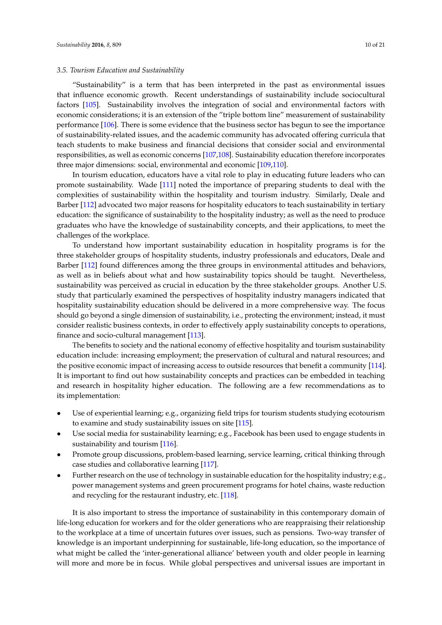#### *3.5. Tourism Education and Sustainability*

"Sustainability" is a term that has been interpreted in the past as environmental issues that influence economic growth. Recent understandings of sustainability include sociocultural factors [\[105\]](#page-18-12). Sustainability involves the integration of social and environmental factors with economic considerations; it is an extension of the "triple bottom line" measurement of sustainability performance [\[106\]](#page-18-13). There is some evidence that the business sector has begun to see the importance of sustainability-related issues, and the academic community has advocated offering curricula that teach students to make business and financial decisions that consider social and environmental responsibilities, as well as economic concerns [\[107](#page-18-14)[,108\]](#page-18-15). Sustainability education therefore incorporates three major dimensions: social, environmental and economic [\[109](#page-18-16)[,110\]](#page-18-17).

In tourism education, educators have a vital role to play in educating future leaders who can promote sustainability. Wade [\[111\]](#page-18-18) noted the importance of preparing students to deal with the complexities of sustainability within the hospitality and tourism industry. Similarly, Deale and Barber [\[112\]](#page-18-19) advocated two major reasons for hospitality educators to teach sustainability in tertiary education: the significance of sustainability to the hospitality industry; as well as the need to produce graduates who have the knowledge of sustainability concepts, and their applications, to meet the challenges of the workplace.

To understand how important sustainability education in hospitality programs is for the three stakeholder groups of hospitality students, industry professionals and educators, Deale and Barber [\[112\]](#page-18-19) found differences among the three groups in environmental attitudes and behaviors, as well as in beliefs about what and how sustainability topics should be taught. Nevertheless, sustainability was perceived as crucial in education by the three stakeholder groups. Another U.S. study that particularly examined the perspectives of hospitality industry managers indicated that hospitality sustainability education should be delivered in a more comprehensive way. The focus should go beyond a single dimension of sustainability, i.e., protecting the environment; instead, it must consider realistic business contexts, in order to effectively apply sustainability concepts to operations, finance and socio-cultural management [\[113\]](#page-18-20).

The benefits to society and the national economy of effective hospitality and tourism sustainability education include: increasing employment; the preservation of cultural and natural resources; and the positive economic impact of increasing access to outside resources that benefit a community [\[114\]](#page-18-21). It is important to find out how sustainability concepts and practices can be embedded in teaching and research in hospitality higher education. The following are a few recommendations as to its implementation:

- Use of experiential learning; e.g., organizing field trips for tourism students studying ecotourism to examine and study sustainability issues on site [\[115\]](#page-18-22).
- Use social media for sustainability learning; e.g., Facebook has been used to engage students in sustainability and tourism [\[116\]](#page-18-23).
- Promote group discussions, problem-based learning, service learning, critical thinking through case studies and collaborative learning [\[117\]](#page-18-24).
- Further research on the use of technology in sustainable education for the hospitality industry; e.g., power management systems and green procurement programs for hotel chains, waste reduction and recycling for the restaurant industry, etc. [\[118\]](#page-18-25).

It is also important to stress the importance of sustainability in this contemporary domain of life-long education for workers and for the older generations who are reappraising their relationship to the workplace at a time of uncertain futures over issues, such as pensions. Two-way transfer of knowledge is an important underpinning for sustainable, life-long education, so the importance of what might be called the 'inter-generational alliance' between youth and older people in learning will more and more be in focus. While global perspectives and universal issues are important in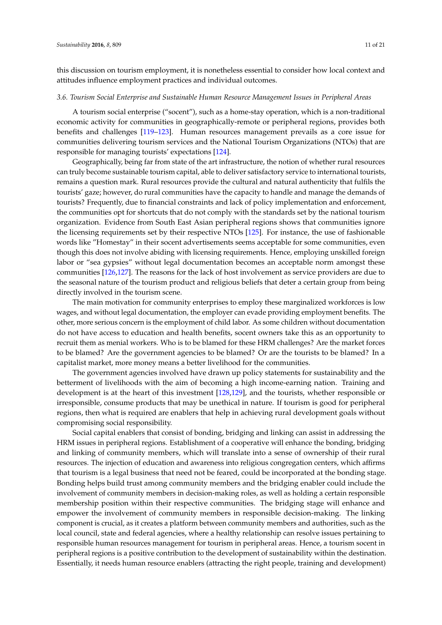this discussion on tourism employment, it is nonetheless essential to consider how local context and attitudes influence employment practices and individual outcomes.

#### *3.6. Tourism Social Enterprise and Sustainable Human Resource Management Issues in Peripheral Areas*

A tourism social enterprise ("socent"), such as a home-stay operation, which is a non-traditional economic activity for communities in geographically-remote or peripheral regions, provides both benefits and challenges [\[119–](#page-19-0)[123\]](#page-19-1). Human resources management prevails as a core issue for communities delivering tourism services and the National Tourism Organizations (NTOs) that are responsible for managing tourists' expectations [\[124\]](#page-19-2).

Geographically, being far from state of the art infrastructure, the notion of whether rural resources can truly become sustainable tourism capital, able to deliver satisfactory service to international tourists, remains a question mark. Rural resources provide the cultural and natural authenticity that fulfils the tourists' gaze; however, do rural communities have the capacity to handle and manage the demands of tourists? Frequently, due to financial constraints and lack of policy implementation and enforcement, the communities opt for shortcuts that do not comply with the standards set by the national tourism organization. Evidence from South East Asian peripheral regions shows that communities ignore the licensing requirements set by their respective NTOs [\[125\]](#page-19-3). For instance, the use of fashionable words like "Homestay" in their socent advertisements seems acceptable for some communities, even though this does not involve abiding with licensing requirements. Hence, employing unskilled foreign labor or "sea gypsies" without legal documentation becomes an acceptable norm amongst these communities [\[126,](#page-19-4)[127\]](#page-19-5). The reasons for the lack of host involvement as service providers are due to the seasonal nature of the tourism product and religious beliefs that deter a certain group from being directly involved in the tourism scene.

The main motivation for community enterprises to employ these marginalized workforces is low wages, and without legal documentation, the employer can evade providing employment benefits. The other, more serious concern is the employment of child labor. As some children without documentation do not have access to education and health benefits, socent owners take this as an opportunity to recruit them as menial workers. Who is to be blamed for these HRM challenges? Are the market forces to be blamed? Are the government agencies to be blamed? Or are the tourists to be blamed? In a capitalist market, more money means a better livelihood for the communities.

The government agencies involved have drawn up policy statements for sustainability and the betterment of livelihoods with the aim of becoming a high income-earning nation. Training and development is at the heart of this investment [\[128](#page-19-6)[,129\]](#page-19-7), and the tourists, whether responsible or irresponsible, consume products that may be unethical in nature. If tourism is good for peripheral regions, then what is required are enablers that help in achieving rural development goals without compromising social responsibility.

Social capital enablers that consist of bonding, bridging and linking can assist in addressing the HRM issues in peripheral regions. Establishment of a cooperative will enhance the bonding, bridging and linking of community members, which will translate into a sense of ownership of their rural resources. The injection of education and awareness into religious congregation centers, which affirms that tourism is a legal business that need not be feared, could be incorporated at the bonding stage. Bonding helps build trust among community members and the bridging enabler could include the involvement of community members in decision-making roles, as well as holding a certain responsible membership position within their respective communities. The bridging stage will enhance and empower the involvement of community members in responsible decision-making. The linking component is crucial, as it creates a platform between community members and authorities, such as the local council, state and federal agencies, where a healthy relationship can resolve issues pertaining to responsible human resources management for tourism in peripheral areas. Hence, a tourism socent in peripheral regions is a positive contribution to the development of sustainability within the destination. Essentially, it needs human resource enablers (attracting the right people, training and development)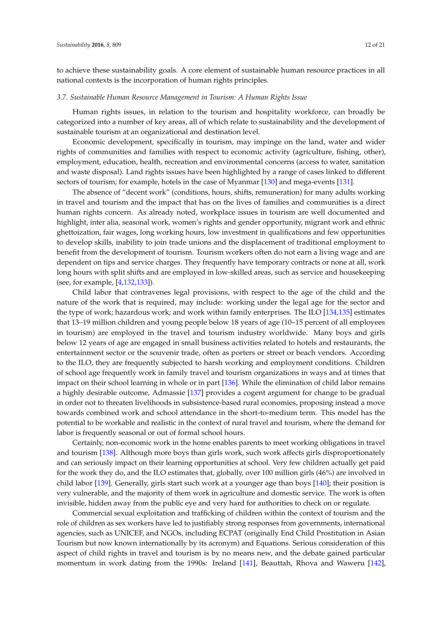to achieve these sustainability goals. A core element of sustainable human resource practices in all national contexts is the incorporation of human rights principles.

#### *3.7. Sustainable Human Resource Management in Tourism: A Human Rights Issue*

Human rights issues, in relation to the tourism and hospitality workforce, can broadly be categorized into a number of key areas, all of which relate to sustainability and the development of sustainable tourism at an organizational and destination level.

Economic development, specifically in tourism, may impinge on the land, water and wider rights of communities and families with respect to economic activity (agriculture, fishing, other), employment, education, health, recreation and environmental concerns (access to water, sanitation and waste disposal). Land rights issues have been highlighted by a range of cases linked to different sectors of tourism; for example, hotels in the case of Myanmar [\[130\]](#page-19-8) and mega-events [\[131\]](#page-19-9).

The absence of "decent work" (conditions, hours, shifts, remuneration) for many adults working in travel and tourism and the impact that has on the lives of families and communities is a direct human rights concern. As already noted, workplace issues in tourism are well documented and highlight, inter alia, seasonal work, women's rights and gender opportunity, migrant work and ethnic ghettoization, fair wages, long working hours, low investment in qualifications and few opportunities to develop skills, inability to join trade unions and the displacement of traditional employment to benefit from the development of tourism. Tourism workers often do not earn a living wage and are dependent on tips and service charges. They frequently have temporary contracts or none at all, work long hours with split shifts and are employed in low-skilled areas, such as service and housekeeping (see, for example, [\[4,](#page-14-12)[132,](#page-19-10)[133\]](#page-19-11)).

Child labor that contravenes legal provisions, with respect to the age of the child and the nature of the work that is required, may include: working under the legal age for the sector and the type of work; hazardous work; and work within family enterprises. The ILO [\[134](#page-19-12)[,135\]](#page-19-13) estimates that 13–19 million children and young people below 18 years of age (10–15 percent of all employees in tourism) are employed in the travel and tourism industry worldwide. Many boys and girls below 12 years of age are engaged in small business activities related to hotels and restaurants, the entertainment sector or the souvenir trade, often as porters or street or beach vendors. According to the ILO, they are frequently subjected to harsh working and employment conditions. Children of school age frequently work in family travel and tourism organizations in ways and at times that impact on their school learning in whole or in part [\[136\]](#page-19-14). While the elimination of child labor remains a highly desirable outcome, Admassie [\[137\]](#page-19-15) provides a cogent argument for change to be gradual in order not to threaten livelihoods in subsistence-based rural economies, proposing instead a move towards combined work and school attendance in the short-to-medium term. This model has the potential to be workable and realistic in the context of rural travel and tourism, where the demand for labor is frequently seasonal or out of formal school hours.

Certainly, non-economic work in the home enables parents to meet working obligations in travel and tourism [\[138\]](#page-19-16). Although more boys than girls work, such work affects girls disproportionately and can seriously impact on their learning opportunities at school. Very few children actually get paid for the work they do, and the ILO estimates that, globally, over 100 million girls (46%) are involved in child labor [\[139\]](#page-19-17). Generally, girls start such work at a younger age than boys [\[140\]](#page-19-18); their position is very vulnerable, and the majority of them work in agriculture and domestic service. The work is often invisible, hidden away from the public eye and very hard for authorities to check on or regulate.

Commercial sexual exploitation and trafficking of children within the context of tourism and the role of children as sex workers have led to justifiably strong responses from governments, international agencies, such as UNICEF, and NGOs, including ECPAT (originally End Child Prostitution in Asian Tourism but now known internationally by its acronym) and Equations. Serious consideration of this aspect of child rights in travel and tourism is by no means new, and the debate gained particular momentum in work dating from the 1990s: Ireland [\[141\]](#page-19-19), Beauttah, Rhova and Waweru [\[142\]](#page-19-20),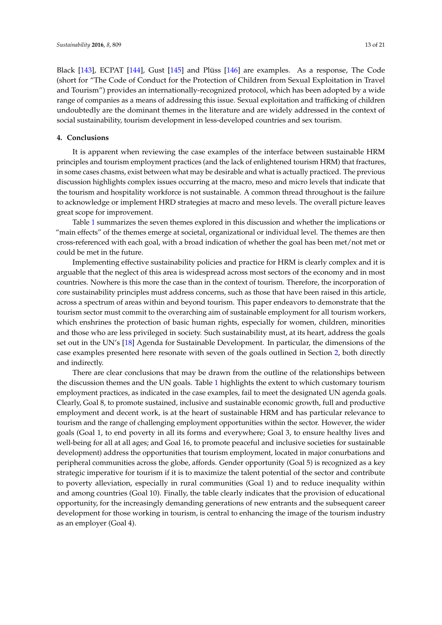Black [\[143\]](#page-19-21), ECPAT [\[144\]](#page-19-22), Gust [\[145\]](#page-20-0) and Plüss [\[146\]](#page-20-1) are examples. As a response, The Code (short for "The Code of Conduct for the Protection of Children from Sexual Exploitation in Travel and Tourism") provides an internationally-recognized protocol, which has been adopted by a wide range of companies as a means of addressing this issue. Sexual exploitation and trafficking of children undoubtedly are the dominant themes in the literature and are widely addressed in the context of social sustainability, tourism development in less-developed countries and sex tourism.

## **4. Conclusions**

It is apparent when reviewing the case examples of the interface between sustainable HRM principles and tourism employment practices (and the lack of enlightened tourism HRM) that fractures, in some cases chasms, exist between what may be desirable and what is actually practiced. The previous discussion highlights complex issues occurring at the macro, meso and micro levels that indicate that the tourism and hospitality workforce is not sustainable. A common thread throughout is the failure to acknowledge or implement HRD strategies at macro and meso levels. The overall picture leaves great scope for improvement.

Table [1](#page-13-0) summarizes the seven themes explored in this discussion and whether the implications or "main effects" of the themes emerge at societal, organizational or individual level. The themes are then cross-referenced with each goal, with a broad indication of whether the goal has been met/not met or could be met in the future.

Implementing effective sustainability policies and practice for HRM is clearly complex and it is arguable that the neglect of this area is widespread across most sectors of the economy and in most countries. Nowhere is this more the case than in the context of tourism. Therefore, the incorporation of core sustainability principles must address concerns, such as those that have been raised in this article, across a spectrum of areas within and beyond tourism. This paper endeavors to demonstrate that the tourism sector must commit to the overarching aim of sustainable employment for all tourism workers, which enshrines the protection of basic human rights, especially for women, children, minorities and those who are less privileged in society. Such sustainability must, at its heart, address the goals set out in the UN's [\[18\]](#page-15-0) Agenda for Sustainable Development. In particular, the dimensions of the case examples presented here resonate with seven of the goals outlined in Section [2,](#page-1-0) both directly and indirectly.

There are clear conclusions that may be drawn from the outline of the relationships between the discussion themes and the UN goals. Table [1](#page-13-0) highlights the extent to which customary tourism employment practices, as indicated in the case examples, fail to meet the designated UN agenda goals. Clearly, Goal 8, to promote sustained, inclusive and sustainable economic growth, full and productive employment and decent work, is at the heart of sustainable HRM and has particular relevance to tourism and the range of challenging employment opportunities within the sector. However, the wider goals (Goal 1, to end poverty in all its forms and everywhere; Goal 3, to ensure healthy lives and well-being for all at all ages; and Goal 16, to promote peaceful and inclusive societies for sustainable development) address the opportunities that tourism employment, located in major conurbations and peripheral communities across the globe, affords. Gender opportunity (Goal 5) is recognized as a key strategic imperative for tourism if it is to maximize the talent potential of the sector and contribute to poverty alleviation, especially in rural communities (Goal 1) and to reduce inequality within and among countries (Goal 10). Finally, the table clearly indicates that the provision of educational opportunity, for the increasingly demanding generations of new entrants and the subsequent career development for those working in tourism, is central to enhancing the image of the tourism industry as an employer (Goal 4).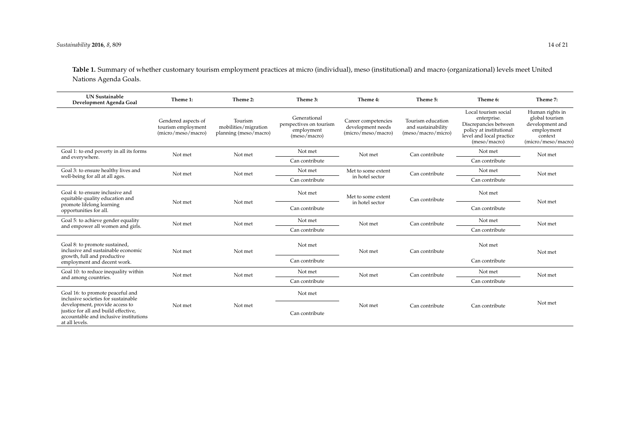**Table 1.** Summary of whether customary tourism employment practices at micro (individual), meso (institutional) and macro (organizational) levels meet United Nations Agenda Goals.

<span id="page-13-0"></span>

| <b>UN Sustainable</b><br>Development Agenda Goal                                                                                                                                                              | Theme 1:                                                        | Theme 2:                                                 | Theme 3:                                                              | Theme 4:                                                       | Theme 5:                                                      | Theme 6:                                                                                                                            | Theme 7:                                                                                            |
|---------------------------------------------------------------------------------------------------------------------------------------------------------------------------------------------------------------|-----------------------------------------------------------------|----------------------------------------------------------|-----------------------------------------------------------------------|----------------------------------------------------------------|---------------------------------------------------------------|-------------------------------------------------------------------------------------------------------------------------------------|-----------------------------------------------------------------------------------------------------|
|                                                                                                                                                                                                               | Gendered aspects of<br>tourism employment<br>(micro/meso/macro) | Tourism<br>mobilities/migration<br>planning (meso/macro) | Generational<br>perspectives on tourism<br>employment<br>(meso/macro) | Career competencies<br>development needs<br>(micro/meso/macro) | Tourism education<br>and sustainability<br>(meso/macro/micro) | Local tourism social<br>enterprise.<br>Discrepancies between<br>policy at institutional<br>level and local practice<br>(meso/macro) | Human rights in<br>global tourism<br>development and<br>employment<br>context<br>(micro/meso/macro) |
| Goal 1: to end poverty in all its forms<br>and everywhere.                                                                                                                                                    | Not met                                                         | Not met                                                  | Not met                                                               | Not met                                                        | Can contribute                                                | Not met                                                                                                                             | Not met                                                                                             |
|                                                                                                                                                                                                               |                                                                 |                                                          | Can contribute                                                        |                                                                |                                                               | Can contribute                                                                                                                      |                                                                                                     |
| Goal 3: to ensure healthy lives and<br>well-being for all at all ages.                                                                                                                                        | Not met                                                         | Not met                                                  | Not met                                                               | Met to some extent<br>in hotel sector                          | Can contribute                                                | Not met                                                                                                                             | Not met                                                                                             |
|                                                                                                                                                                                                               |                                                                 |                                                          | Can contribute                                                        |                                                                |                                                               | Can contribute                                                                                                                      |                                                                                                     |
| Goal 4: to ensure inclusive and<br>equitable quality education and<br>promote lifelong learning<br>opportunities for all.                                                                                     | Not met                                                         | Not met                                                  | Not met                                                               | Met to some extent<br>in hotel sector                          | Can contribute                                                | Not met                                                                                                                             | Not met                                                                                             |
|                                                                                                                                                                                                               |                                                                 |                                                          | Can contribute                                                        |                                                                |                                                               | Can contribute                                                                                                                      |                                                                                                     |
| Goal 5: to achieve gender equality<br>and empower all women and girls.                                                                                                                                        | Not met                                                         | Not met                                                  | Not met                                                               | Not met                                                        | Can contribute                                                | Not met                                                                                                                             | Not met                                                                                             |
|                                                                                                                                                                                                               |                                                                 |                                                          | Can contribute                                                        |                                                                |                                                               | Can contribute                                                                                                                      |                                                                                                     |
| Goal 8: to promote sustained,<br>inclusive and sustainable economic<br>growth, full and productive<br>employment and decent work.                                                                             | Not met                                                         | Not met                                                  | Not met                                                               | Not met                                                        | Can contribute                                                | Not met                                                                                                                             | Not met                                                                                             |
|                                                                                                                                                                                                               |                                                                 |                                                          | Can contribute                                                        |                                                                |                                                               | Can contribute                                                                                                                      |                                                                                                     |
| Goal 10: to reduce inequality within<br>and among countries.                                                                                                                                                  | Not met                                                         | Not met                                                  | Not met                                                               | Not met                                                        | Can contribute                                                | Not met                                                                                                                             | Not met                                                                                             |
|                                                                                                                                                                                                               |                                                                 |                                                          | Can contribute                                                        |                                                                |                                                               | Can contribute                                                                                                                      |                                                                                                     |
| Goal 16: to promote peaceful and<br>inclusive societies for sustainable<br>development, provide access to<br>justice for all and build effective,<br>accountable and inclusive institutions<br>at all levels. | Not met                                                         | Not met                                                  | Not met                                                               | Not met                                                        | Can contribute                                                | Can contribute                                                                                                                      | Not met                                                                                             |
|                                                                                                                                                                                                               |                                                                 |                                                          | Can contribute                                                        |                                                                |                                                               |                                                                                                                                     |                                                                                                     |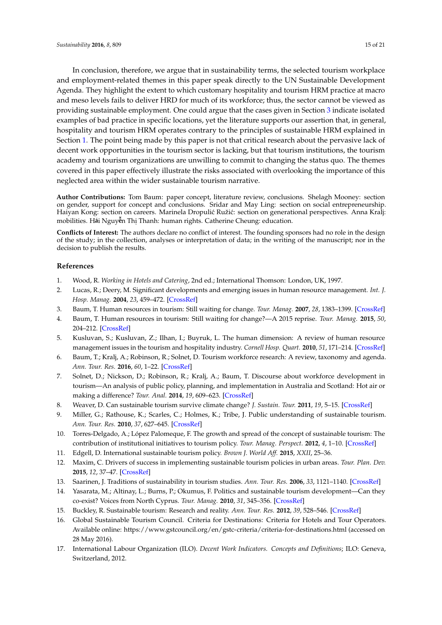In conclusion, therefore, we argue that in sustainability terms, the selected tourism workplace and employment-related themes in this paper speak directly to the UN Sustainable Development Agenda. They highlight the extent to which customary hospitality and tourism HRM practice at macro and meso levels fails to deliver HRD for much of its workforce; thus, the sector cannot be viewed as providing sustainable employment. One could argue that the cases given in Section [3](#page-4-0) indicate isolated examples of bad practice in specific locations, yet the literature supports our assertion that, in general, hospitality and tourism HRM operates contrary to the principles of sustainable HRM explained in Section [1.](#page-0-0) The point being made by this paper is not that critical research about the pervasive lack of decent work opportunities in the tourism sector is lacking, but that tourism institutions, the tourism academy and tourism organizations are unwilling to commit to changing the status quo. The themes covered in this paper effectively illustrate the risks associated with overlooking the importance of this neglected area within the wider sustainable tourism narrative.<br>**Notainable** 

**Author Contributions:** Tom Baum: paper concept, literature review, conclusions. Shelagh Mooney: section on gender, support for concept and conclusions. Sridar and May Ling: section on social entrepreneurship. Haiyan Kong: section on careers. Marinela Dropulić Ružić: section on generational perspectives. Anna Kralj: mobilities. H**á**i Nguyên Thị Thanh: human rights. Catherine Cheung: education. Author Co<br>
on gender,<br>
Haiyan Ko<br>
mobilities<br>
Conflicts o

**Sridar Ramachandran 7, Marinela Dropulić Ružić 8 and May Ling Siow 9** of the study, in the concention, and decision to publish the results. **Conflicts of Interest:** The authors declare no conflict of interest. The founding sponsors had no role in the design of the study; in the collection, analyses or interpretation of data; in the writing of the manuscript; nor in the

#### $R_{\alpha}$ for and  $\alpha$  $R$  of order  $\alpha$ **References**

- <span id="page-14-0"></span>1. Wood, R. *Working in Hotels and Catering*, 2nd ed.; International Thomson: London, UK, 1997.
- 1. Wood, R. *Working in Hotels and Catering,* 2nd ed.; International Thomson: London, UK, 1997.<br>2. Lucas, R.; Deery, M. Significant developments and emerging issues in human resource management. *Int. J*. *Hosp. Manag.* 2004, 23, 459–472. [\[CrossRef\]](http://dx.doi.org/10.1016/j.ijhm.2004.10.005) 5 Hosp. Manag. 2004, 23<br>3. Baum. T. Human resor
	- 3. Baum, T. Human resources in tourism: Still waiting for change. *Tour. Manag.* **2007**, *28*, 1383–1399. [\[CrossRef\]](http://dx.doi.org/10.1016/j.tourman.2007.04.005)
- <span id="page-14-12"></span>4. Baum, T. Human resources in tourism: Still waiting for change?—A 2015 reprise. *Tour. Manag.* 2015, 50, 204–212. [CrossRef]
- <span id="page-14-2"></span><span id="page-14-1"></span>5. Kusluvan, S.; Kusluvan, Z.; Ilhan, I.; Buyruk, L. The human dimension: A review of human resource management issues in the tourism and hospitality industry. *Cornell Hosp. Quart.* **2010**, *51*, 171–214. [\[CrossRef\]](http://dx.doi.org/10.1177/1938965510362871)
- $\begin{array}{ccc}\n & \text{max}_{\mathbf{Q}} \\
 & \text{max}_{\mathbf{Q}} \\
 & \text{max}_{\mathbf{Q}}\n \end{array}$ 6. Baum, T.; Kralj, A.; Robinson, R.; Solnet, D. Tourism workforce research: A review, taxonomy and agenda. 4. Baum, T. Human resources in to<br>204–212. [CrossRef]<br>5. Kusluvan, S.; Kusluvan, Z.; Ilh<br>management issues in the tourisn<br>6. Baum, T.; Kralj, A.; Robinson, R.<br>Ann. Tour. Res. **2016**, 60, 1–22. [C *Ann. Tour. Res.* **2016**, *60*, 1–22. [\[CrossRef\]](http://dx.doi.org/10.1016/j.annals.2016.04.003)
	- 7. Solnet, D.; Nickson, D.; Robinson, R.; Kralj, A.; Baum, T. Discourse about workforce development in tourism—An analysis of public policy, planning, and implementation in Australia and Scotland: Hot air or making a difference? *Tour. Anal.* **2014**, *19*, 609–623. [\[CrossRef\]](http://dx.doi.org/10.3727/108354214X14116690097936)
	- 8. Weaver, D. Can sustainable tourism survive climate change? *J. Sustain. Tour.* **2011**, *19*, 5–15. [\[CrossRef\]](http://dx.doi.org/10.1080/09669582.2010.536242)
- <span id="page-14-4"></span><span id="page-14-3"></span>Ann. Tour. Res. **2010**, 37, 627–645. [\[CrossRef\]](http://dx.doi.org/10.1016/j.annals.2009.12.002) 9. Miller, G.; Rathouse, K.; Scarles, C.; Holmes, K.; Tribe, J. Public understanding of sustainable tourism.
- <span id="page-14-5"></span>10. Torres-Delgado, A.; López Palomeque, F. The growth and spread of the concept of sustainable tourism: The contribution of institutional initiatives to tourism policy. Tour. Manag. Perspect. 2012, 4, 1-10. [\[CrossRef\]](http://dx.doi.org/10.1016/j.tmp.2012.05.001)
- <span id="page-14-6"></span>11. Edgell, D. International sustainable tourism policy. *Brown J. World Aff.* 2015, XXII, 25–36.
- <span id="page-14-7"></span>12. Maxim, C. Drivers of success in implementing sustainable tourism policies in urban areas. Tour. Plan. Dev. **2015**, 12, 37–47. [\[CrossRef\]](http://dx.doi.org/10.1080/21568316.2014.960599)
- <span id="page-14-8"></span>13. Saarinen, J. Traditions of sustainability in tourism studies. Ann. Tour. Res. 2006, 33, 1121–1140. [\[CrossRef\]](http://dx.doi.org/10.1016/j.annals.2006.06.007)
- 14. Yasarata, M.; Altinay, L.; Burns, P.; Okumus, F. Politics and sustainable tourism development—Can they co-exist? Voices from North Cyprus. Tour. Manag. 2010, 31, 345–356. [\[CrossRef\]](http://dx.doi.org/10.1016/j.tourman.2009.03.016)
	- 15. Buckley, R. Sustainable tourism: Research and reality. *Ann. Tour. Res.* **2012**, *39*, 528–546. [\[CrossRef\]](http://dx.doi.org/10.1016/j.annals.2012.02.003)
- <span id="page-14-10"></span><span id="page-14-9"></span>16. Global Sustainable Tourism Council. Criteria for Destinations: Criteria for Hotels and Tour Operators. Available online: <https://www.gstcouncil.org/en/gstc-criteria/criteria-for-destinations.html> (accessed on 28 May 2016).
- <span id="page-14-11"></span>17. International Labour Organization (ILO). Decent Work Indicators. Concepts and Definitions; ILO: Geneva, Switzerland, 2012.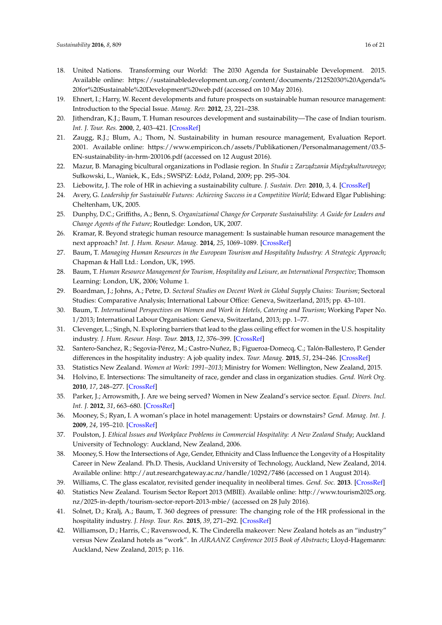- <span id="page-15-0"></span>18. United Nations. Transforming our World: The 2030 Agenda for Sustainable Development. 2015. Available online: [https://sustainabledevelopment.un.org/content/documents/21252030%20Agenda%](https://sustainabledevelopment.un.org/content/documents/21252030%20Agenda%20for%20Sustainable%20Development%20web.pdf) [20for%20Sustainable%20Development%20web.pdf](https://sustainabledevelopment.un.org/content/documents/21252030%20Agenda%20for%20Sustainable%20Development%20web.pdf) (accessed on 10 May 2016).
- <span id="page-15-1"></span>19. Ehnert, I.; Harry, W. Recent developments and future prospects on sustainable human resource management: Introduction to the Special Issue. *Manag. Rev.* **2012**, *23*, 221–238.
- <span id="page-15-2"></span>20. Jithendran, K.J.; Baum, T. Human resources development and sustainability—The case of Indian tourism. *Int. J. Tour. Res.* **2000**, *2*, 403–421. [\[CrossRef\]](http://dx.doi.org/10.1002/1522-1970(200011/12)2:6<403::AID-JTR239>3.0.CO;2-3)
- <span id="page-15-3"></span>21. Zaugg, R.J.; Blum, A.; Thom, N. Sustainability in human resource management, Evaluation Report. 2001. Available online: [https://www.empiricon.ch/assets/Publikationen/Personalmanagement/03.5-](https://www.empiricon.ch/assets/Publikationen/Personalmanagement/03.5-EN-sustainability-in-hrm-200106.pdf) [EN-sustainability-in-hrm-200106.pdf](https://www.empiricon.ch/assets/Publikationen/Personalmanagement/03.5-EN-sustainability-in-hrm-200106.pdf) (accessed on 12 August 2016).
- <span id="page-15-4"></span>22. Mazur, B. Managing bicultural organizations in Podlasie region. In *Studia z Zarządzania Międzykulturowego*; Sułkowski, L., Waniek, K., Eds.; SWSPiZ: Łódź, Poland, 2009; pp. 295-304.
- <span id="page-15-5"></span>23. Liebowitz, J. The role of HR in achieving a sustainability culture. *J. Sustain. Dev.* **2010**, *3*, 4. [\[CrossRef\]](http://dx.doi.org/10.5539/jsd.v3n4p50)
- <span id="page-15-6"></span>24. Avery, G. *Leadership for Sustainable Futures: Achieving Success in a Competitive World*; Edward Elgar Publishing: Cheltenham, UK, 2005.
- <span id="page-15-7"></span>25. Dunphy, D.C.; Griffiths, A.; Benn, S. *Organizational Change for Corporate Sustainability: A Guide for Leaders and Change Agents of the Future*; Routledge: London, UK, 2007.
- <span id="page-15-8"></span>26. Kramar, R. Beyond strategic human resource management: Is sustainable human resource management the next approach? *Int. J. Hum. Resour. Manag.* **2014**, *25*, 1069–1089. [\[CrossRef\]](http://dx.doi.org/10.1080/09585192.2013.816863)
- <span id="page-15-9"></span>27. Baum, T. *Managing Human Resources in the European Tourism and Hospitality Industry: A Strategic Approach*; Chapman & Hall Ltd.: London, UK, 1995.
- <span id="page-15-10"></span>28. Baum, T. *Human Resource Management for Tourism, Hospitality and Leisure, an International Perspective*; Thomson Learning: London, UK, 2006; Volume 1.
- <span id="page-15-11"></span>29. Boardman, J.; Johns, A.; Petre, D. *Sectoral Studies on Decent Work in Global Supply Chains: Tourism*; Sectoral Studies: Comparative Analysis; International Labour Office: Geneva, Switzerland, 2015; pp. 43–101.
- <span id="page-15-12"></span>30. Baum, T. *International Perspectives on Women and Work in Hotels, Catering and Tourism*; Working Paper No. 1/2013; International Labour Organisation: Geneva, Switzerland, 2013; pp. 1–77.
- 31. Clevenger, L.; Singh, N. Exploring barriers that lead to the glass ceiling effect for women in the U.S. hospitality industry. *J. Hum. Resour. Hosp. Tour.* **2013**, *12*, 376–399. [\[CrossRef\]](http://dx.doi.org/10.1080/15332845.2013.790258)
- <span id="page-15-13"></span>32. Santero-Sanchez, R.; Segovia-Pérez, M.; Castro-Nuñez, B.; Figueroa-Domecq, C.; Talón-Ballestero, P. Gender differences in the hospitality industry: A job quality index. *Tour. Manag.* **2015**, *51*, 234–246. [\[CrossRef\]](http://dx.doi.org/10.1016/j.tourman.2015.05.025)
- <span id="page-15-14"></span>33. Statistics New Zealand. *Women at Work: 1991–2013*; Ministry for Women: Wellington, New Zealand, 2015.
- <span id="page-15-15"></span>34. Holvino, E. Intersections: The simultaneity of race, gender and class in organization studies. *Gend. Work Org.* **2010**, *17*, 248–277. [\[CrossRef\]](http://dx.doi.org/10.1111/j.1468-0432.2008.00400.x)
- <span id="page-15-16"></span>35. Parker, J.; Arrowsmith, J. Are we being served? Women in New Zealand's service sector. *Equal. Divers. Incl. Int. J.* **2012**, *31*, 663–680. [\[CrossRef\]](http://dx.doi.org/10.1108/02610151211263504)
- <span id="page-15-17"></span>36. Mooney, S.; Ryan, I. A woman's place in hotel management: Upstairs or downstairs? *Gend. Manag. Int. J.* **2009**, *24*, 195–210. [\[CrossRef\]](http://dx.doi.org/10.1108/17542410910950877)
- <span id="page-15-18"></span>37. Poulston, J. *Ethical Issues and Workplace Problems in Commercial Hospitality: A New Zealand Study*; Auckland University of Technology: Auckland, New Zealand, 2006.
- <span id="page-15-19"></span>38. Mooney, S. How the Intersections of Age, Gender, Ethnicity and Class Influence the Longevity of a Hospitality Career in New Zealand. Ph.D. Thesis, Auckland University of Technology, Auckland, New Zealand, 2014. Available online: <http://aut.researchgateway.ac.nz/handle/10292/7486> (accessed on 1 August 2014).
- <span id="page-15-20"></span>39. Williams, C. The glass escalator, revisited gender inequality in neoliberal times. *Gend. Soc.* **2013**. [\[CrossRef\]](http://dx.doi.org/10.1177/0891243213490232)
- <span id="page-15-21"></span>40. Statistics New Zealand. Tourism Sector Report 2013 (MBIE). Available online: [http://www.tourism2025.org.](http://www.tourism2025.org.nz/2025-in-depth/tourism-sector-report-2013-mbie/) [nz/2025-in-depth/tourism-sector-report-2013-mbie/](http://www.tourism2025.org.nz/2025-in-depth/tourism-sector-report-2013-mbie/) (accessed on 28 July 2016).
- <span id="page-15-22"></span>41. Solnet, D.; Kralj, A.; Baum, T. 360 degrees of pressure: The changing role of the HR professional in the hospitality industry. *J. Hosp. Tour. Res.* **2015**, *39*, 271–292. [\[CrossRef\]](http://dx.doi.org/10.1177/1096348012471380)
- <span id="page-15-23"></span>42. Williamson, D.; Harris, C.; Ravenswood, K. The Cinderella makeover: New Zealand hotels as an "industry" versus New Zealand hotels as "work". In *AIRAANZ Conference 2015 Book of Abstracts*; Lloyd-Hagemann: Auckland, New Zealand, 2015; p. 116.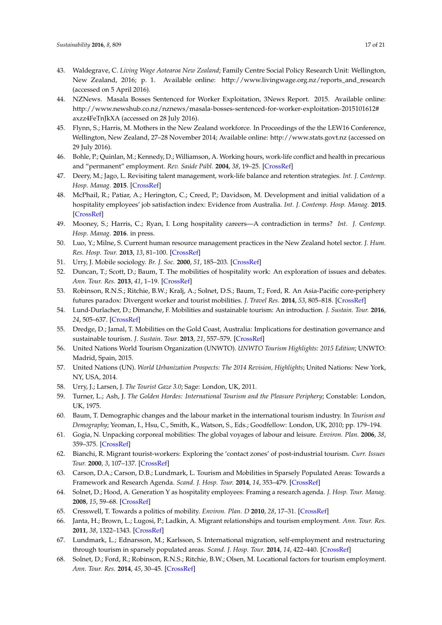- <span id="page-16-0"></span>43. Waldegrave, C. *Living Wage Aotearoa New Zealand*; Family Centre Social Policy Research Unit: Wellington, New Zealand, 2016; p. 1. Available online: [http://www.livingwage.org.nz/reports\\_and\\_research](http://www.livingwage.org.nz/reports_and_research) (accessed on 5 April 2016).
- <span id="page-16-1"></span>44. NZNews. Masala Bosses Sentenced for Worker Exploitation, 3News Report. 2015. Available online: [http://www.newshub.co.nz/nznews/masala-bosses-sentenced-for-worker-exploitation-2015101612#](http://www.newshub.co.nz/nznews/masala-bosses-sentenced-for-worker-exploitation-2015101612#axzz4FeTnJkXA) [axzz4FeTnJkXA](http://www.newshub.co.nz/nznews/masala-bosses-sentenced-for-worker-exploitation-2015101612#axzz4FeTnJkXA) (accessed on 28 July 2016).
- <span id="page-16-2"></span>45. Flynn, S.; Harris, M. Mothers in the New Zealand workforce. In Proceedings of the the LEW16 Conference, Wellington, New Zealand, 27–28 November 2014; Available online: <http://www.stats.govt.nz> (accessed on 29 July 2016).
- <span id="page-16-3"></span>46. Bohle, P.; Quinlan, M.; Kennedy, D.; Williamson, A. Working hours, work-life conflict and health in precarious and "permanent" employment. *Rev. Saúde Públ.* **2004**, *38*, 19–25. [\[CrossRef\]](http://dx.doi.org/10.1590/S0034-89102004000700004)
- <span id="page-16-4"></span>47. Deery, M.; Jago, L. Revisiting talent management, work-life balance and retention strategies. *Int. J. Contemp. Hosp. Manag.* **2015**. [\[CrossRef\]](http://dx.doi.org/10.1108/IJCHM-12-2013-0538)
- 48. McPhail, R.; Patiar, A.; Herington, C.; Creed, P.; Davidson, M. Development and initial validation of a hospitality employees' job satisfaction index: Evidence from Australia. *Int. J. Contemp. Hosp. Manag.* **2015**. [\[CrossRef\]](http://dx.doi.org/10.1108/IJCHM-03-2014-0132)
- <span id="page-16-5"></span>49. Mooney, S.; Harris, C.; Ryan, I. Long hospitality careers—A contradiction in terms? *Int. J. Contemp. Hosp. Manag.* **2016**. in press.
- <span id="page-16-6"></span>50. Luo, Y.; Milne, S. Current human resource management practices in the New Zealand hotel sector. *J. Hum. Res. Hosp. Tour.* **2013**, *13*, 81–100. [\[CrossRef\]](http://dx.doi.org/10.1080/15332845.2013.807395)
- <span id="page-16-7"></span>51. Urry, J. Mobile sociology. *Br. J. Soc.* **2000**, *51*, 185–203. [\[CrossRef\]](http://dx.doi.org/10.1080/000713100358499)
- <span id="page-16-8"></span>52. Duncan, T.; Scott, D.; Baum, T. The mobilities of hospitality work: An exploration of issues and debates. *Ann. Tour. Res.* **2013**, *41*, 1–19. [\[CrossRef\]](http://dx.doi.org/10.1016/j.annals.2012.10.004)
- <span id="page-16-9"></span>53. Robinson, R.N.S.; Ritchie, B.W.; Kralj, A.; Solnet, D.S.; Baum, T.; Ford, R. An Asia-Pacific core-periphery futures paradox: Divergent worker and tourist mobilities. *J. Travel Res.* **2014**, *53*, 805–818. [\[CrossRef\]](http://dx.doi.org/10.1177/0047287513513164)
- <span id="page-16-10"></span>54. Lund-Durlacher, D.; Dimanche, F. Mobilities and sustainable tourism: An introduction. *J. Sustain. Tour.* **2016**, *24*, 505–637. [\[CrossRef\]](http://dx.doi.org/10.1080/09669582.2013.791302)
- <span id="page-16-11"></span>55. Dredge, D.; Jamal, T. Mobilities on the Gold Coast, Australia: Implications for destination governance and sustainable tourism. *J. Sustain. Tour.* **2013**, *21*, 557–579. [\[CrossRef\]](http://dx.doi.org/10.1080/09669582.2013.776064)
- <span id="page-16-12"></span>56. United Nations World Tourism Organization (UNWTO). *UNWTO Tourism Highlights: 2015 Edition*; UNWTO: Madrid, Spain, 2015.
- <span id="page-16-13"></span>57. United Nations (UN). *World Urbanization Prospects: The 2014 Revision, Highlights*; United Nations: New York, NY, USA, 2014.
- <span id="page-16-14"></span>58. Urry, J.; Larsen, J. *The Tourist Gaze 3.0*; Sage: London, UK, 2011.
- <span id="page-16-15"></span>59. Turner, L.; Ash, J. *The Golden Hordes: International Tourism and the Pleasure Periphery*; Constable: London, UK, 1975.
- <span id="page-16-16"></span>60. Baum, T. Demographic changes and the labour market in the international tourism industry. In *Tourism and Demography*; Yeoman, I., Hsu, C., Smith, K., Watson, S., Eds.; Goodfellow: London, UK, 2010; pp. 179–194.
- 61. Gogia, N. Unpacking corporeal mobilities: The global voyages of labour and leisure. *Environ. Plan.* **2006**, *38*, 359–375. [\[CrossRef\]](http://dx.doi.org/10.1068/a37274)
- <span id="page-16-17"></span>62. Bianchi, R. Migrant tourist-workers: Exploring the 'contact zones' of post-industrial tourism. *Curr. Issues Tour.* **2000**, *3*, 107–137. [\[CrossRef\]](http://dx.doi.org/10.1080/13683500008667869)
- <span id="page-16-18"></span>63. Carson, D.A.; Carson, D.B.; Lundmark, L. Tourism and Mobilities in Sparsely Populated Areas: Towards a Framework and Research Agenda. *Scand. J. Hosp. Tour.* **2014**, *14*, 353–479. [\[CrossRef\]](http://dx.doi.org/10.1080/15022250.2014.967999)
- <span id="page-16-19"></span>64. Solnet, D.; Hood, A. Generation Y as hospitality employees: Framing a research agenda. *J. Hosp. Tour. Manag.* **2008**, *15*, 59–68. [\[CrossRef\]](http://dx.doi.org/10.1375/jhtm.15.59)
- <span id="page-16-20"></span>65. Cresswell, T. Towards a politics of mobility. *Environ. Plan. D* **2010**, *28*, 17–31. [\[CrossRef\]](http://dx.doi.org/10.1068/d11407)
- <span id="page-16-21"></span>66. Janta, H.; Brown, L.; Lugosi, P.; Ladkin, A. Migrant relationships and tourism employment. *Ann. Tour. Res.* **2011**, *38*, 1322–1343. [\[CrossRef\]](http://dx.doi.org/10.1016/j.annals.2011.03.004)
- <span id="page-16-22"></span>67. Lundmark, L.; Ednarsson, M.; Karlsson, S. International migration, self-employment and restructuring through tourism in sparsely populated areas. *Scand. J. Hosp. Tour.* **2014**, *14*, 422–440. [\[CrossRef\]](http://dx.doi.org/10.1080/15022250.2014.967995)
- <span id="page-16-23"></span>68. Solnet, D.; Ford, R.; Robinson, R.N.S.; Ritchie, B.W.; Olsen, M. Locational factors for tourism employment. *Ann. Tour. Res.* **2014**, *45*, 30–45. [\[CrossRef\]](http://dx.doi.org/10.1016/j.annals.2013.11.005)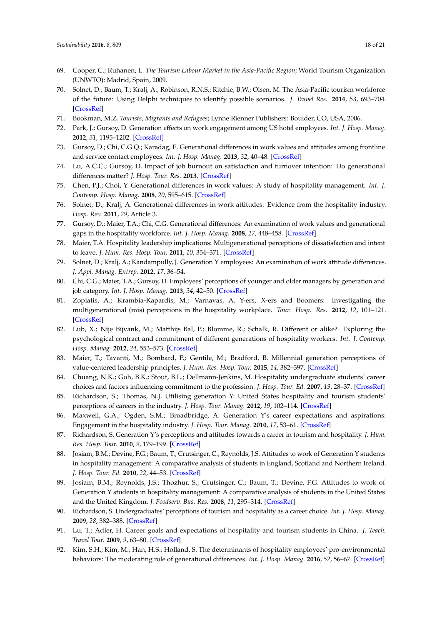- <span id="page-17-0"></span>69. Cooper, C.; Ruhanen, L. *The Tourism Labour Market in the Asia-Pacific Region*; World Tourism Organization (UNWTO): Madrid, Spain, 2009.
- <span id="page-17-1"></span>70. Solnet, D.; Baum, T.; Kralj, A.; Robinson, R.N.S.; Ritchie, B.W.; Olsen, M. The Asia-Pacific tourism workforce of the future: Using Delphi techniques to identify possible scenarios. *J. Travel Res.* **2014**, *53*, 693–704. [\[CrossRef\]](http://dx.doi.org/10.1177/0047287513513163)
- <span id="page-17-2"></span>71. Bookman, M.Z. *Tourists, Migrants and Refugees*; Lynne Rienner Publishers: Boulder, CO, USA, 2006.
- <span id="page-17-3"></span>72. Park, J.; Gursoy, D. Generation effects on work engagement among US hotel employees. *Int. J. Hosp. Manag.* **2012**, *31*, 1195–1202. [\[CrossRef\]](http://dx.doi.org/10.1016/j.ijhm.2012.02.007)
- <span id="page-17-11"></span>73. Gursoy, D.; Chi, C.G.Q.; Karadag, E. Generational differences in work values and attitudes among frontline and service contact employees. *Int. J. Hosp. Manag.* **2013**, *32*, 40–48. [\[CrossRef\]](http://dx.doi.org/10.1016/j.ijhm.2012.04.002)
- <span id="page-17-4"></span>74. Lu, A.C.C.; Gursoy, D. Impact of job burnout on satisfaction and turnover intention: Do generational differences matter? *J. Hosp. Tour. Res.* **2013**. [\[CrossRef\]](http://dx.doi.org/10.1177/1096348013495696)
- <span id="page-17-5"></span>75. Chen, P.J.; Choi, Y. Generational differences in work values: A study of hospitality management. *Int. J. Contemp. Hosp. Manag.* **2008**, *20*, 595–615. [\[CrossRef\]](http://dx.doi.org/10.1108/09596110810892182)
- <span id="page-17-6"></span>76. Solnet, D.; Kralj, A. Generational differences in work attitudes: Evidence from the hospitality industry. *Hosp. Rev.* **2011**, *29*, Article 3.
- <span id="page-17-12"></span>77. Gursoy, D.; Maier, T.A.; Chi, C.G. Generational differences: An examination of work values and generational gaps in the hospitality workforce. *Int. J. Hosp. Manag.* **2008**, *27*, 448–458. [\[CrossRef\]](http://dx.doi.org/10.1016/j.ijhm.2007.11.002)
- 78. Maier, T.A. Hospitality leadership implications: Multigenerational perceptions of dissatisfaction and intent to leave. *J. Hum. Res. Hosp. Tour.* **2011**, *10*, 354–371. [\[CrossRef\]](http://dx.doi.org/10.1080/15332845.2011.588503)
- <span id="page-17-14"></span>79. Solnet, D.; Kralj, A.; Kandampully, J. Generation Y employees: An examination of work attitude differences. *J. Appl. Manag. Entrep.* **2012**, *17*, 36–54.
- <span id="page-17-15"></span>80. Chi, C.G.; Maier, T.A.; Gursoy, D. Employees' perceptions of younger and older managers by generation and job category. *Int. J. Hosp. Manag.* **2013**, *34*, 42–50. [\[CrossRef\]](http://dx.doi.org/10.1016/j.ijhm.2013.01.009)
- <span id="page-17-7"></span>81. Zopiatis, A.; Krambia-Kapardis, M.; Varnavas, A. Y-ers, X-ers and Boomers: Investigating the multigenerational (mis) perceptions in the hospitality workplace. *Tour. Hosp. Res.* **2012**, *12*, 101–121. [\[CrossRef\]](http://dx.doi.org/10.1177/1467358412466668)
- <span id="page-17-8"></span>82. Lub, X.; Nije Bijvank, M.; Matthijs Bal, P.; Blomme, R.; Schalk, R. Different or alike? Exploring the psychological contract and commitment of different generations of hospitality workers. *Int. J. Contemp. Hosp. Manag.* **2012**, *24*, 553–573. [\[CrossRef\]](http://dx.doi.org/10.1108/09596111211226824)
- <span id="page-17-9"></span>83. Maier, T.; Tavanti, M.; Bombard, P.; Gentile, M.; Bradford, B. Millennial generation perceptions of value-centered leadership principles. *J. Hum. Res. Hosp. Tour.* **2015**, *14*, 382–397. [\[CrossRef\]](http://dx.doi.org/10.1080/15332845.2015.1008386)
- 84. Chuang, N.K.; Goh, B.K.; Stout, B.L.; Dellmann-Jenkins, M. Hospitality undergraduate students' career choices and factors influencing commitment to the profession. *J. Hosp. Tour. Ed.* **2007**, *19*, 28–37. [\[CrossRef\]](http://dx.doi.org/10.1080/10963758.2007.10696902)
- 85. Richardson, S.; Thomas, N.J. Utilising generation Y: United States hospitality and tourism students' perceptions of careers in the industry. *J. Hosp. Tour. Manag.* **2012**, *19*, 102–114. [\[CrossRef\]](http://dx.doi.org/10.1017/jht.2012.12)
- <span id="page-17-16"></span>86. Maxwell, G.A.; Ogden, S.M.; Broadbridge, A. Generation Y's career expectations and aspirations: Engagement in the hospitality industry. *J. Hosp. Tour. Manag.* **2010**, *17*, 53–61. [\[CrossRef\]](http://dx.doi.org/10.1375/jhtm.17.1.53)
- 87. Richardson, S. Generation Y's perceptions and attitudes towards a career in tourism and hospitality. *J. Hum. Res. Hosp. Tour.* **2010**, *9*, 179–199. [\[CrossRef\]](http://dx.doi.org/10.1080/15332840903383855)
- 88. Josiam, B.M.; Devine, F.G.; Baum, T.; Crutsinger, C.; Reynolds, J.S. Attitudes to work of Generation Y students in hospitality management: A comparative analysis of students in England, Scotland and Northern Ireland. *J. Hosp. Tour. Ed.* **2010**, *22*, 44–53. [\[CrossRef\]](http://dx.doi.org/10.1080/10963758.2010.10696968)
- 89. Josiam, B.M.; Reynolds, J.S.; Thozhur, S.; Crutsinger, C.; Baum, T.; Devine, F.G. Attitudes to work of Generation Y students in hospitality management: A comparative analysis of students in the United States and the United Kingdom. *J. Foodserv. Bus. Res.* **2008**, *11*, 295–314. [\[CrossRef\]](http://dx.doi.org/10.1080/15378020802317016)
- 90. Richardson, S. Undergraduates' perceptions of tourism and hospitality as a career choice. *Int. J. Hosp. Manag.* **2009**, *28*, 382–388. [\[CrossRef\]](http://dx.doi.org/10.1016/j.ijhm.2008.10.006)
- <span id="page-17-10"></span>91. Lu, T.; Adler, H. Career goals and expectations of hospitality and tourism students in China. *J. Teach. Travel Tour.* **2009**, *9*, 63–80. [\[CrossRef\]](http://dx.doi.org/10.1080/15313220903041972)
- <span id="page-17-13"></span>92. Kim, S.H.; Kim, M.; Han, H.S.; Holland, S. The determinants of hospitality employees' pro-environmental behaviors: The moderating role of generational differences. *Int. J. Hosp. Manag.* **2016**, *52*, 56–67. [\[CrossRef\]](http://dx.doi.org/10.1016/j.ijhm.2015.09.013)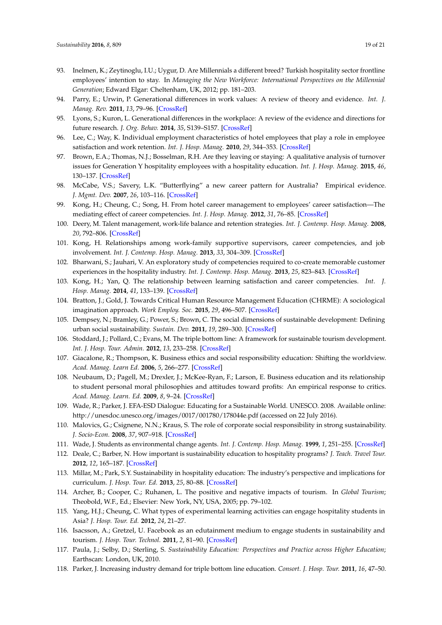- <span id="page-18-0"></span>93. Inelmen, K.; Zeytinoglu, I.U.; Uygur, D. Are Millennials a different breed? Turkish hospitality sector frontline employees' intention to stay. In *Managing the New Workforce: International Perspectives on the Millennial Generation*; Edward Elgar: Cheltenham, UK, 2012; pp. 181–203.
- <span id="page-18-1"></span>94. Parry, E.; Urwin, P. Generational differences in work values: A review of theory and evidence. *Int. J. Manag. Rev.* **2011**, *13*, 79–96. [\[CrossRef\]](http://dx.doi.org/10.1111/j.1468-2370.2010.00285.x)
- <span id="page-18-2"></span>95. Lyons, S.; Kuron, L. Generational differences in the workplace: A review of the evidence and directions for future research. *J. Org. Behav.* **2014**, *35*, S139–S157. [\[CrossRef\]](http://dx.doi.org/10.1002/job.1913)
- <span id="page-18-3"></span>96. Lee, C.; Way, K. Individual employment characteristics of hotel employees that play a role in employee satisfaction and work retention. *Int. J. Hosp. Manag.* **2010**, *29*, 344–353. [\[CrossRef\]](http://dx.doi.org/10.1016/j.ijhm.2009.08.008)
- <span id="page-18-4"></span>97. Brown, E.A.; Thomas, N.J.; Bosselman, R.H. Are they leaving or staying: A qualitative analysis of turnover issues for Generation Y hospitality employees with a hospitality education. *Int. J. Hosp. Manag.* **2015**, *46*, 130–137. [\[CrossRef\]](http://dx.doi.org/10.1016/j.ijhm.2015.01.011)
- <span id="page-18-5"></span>98. McCabe, V.S.; Savery, L.K. "Butterflying" a new career pattern for Australia? Empirical evidence. *J. Mgmt. Dev.* **2007**, *26*, 103–116. [\[CrossRef\]](http://dx.doi.org/10.1108/02621710710726026)
- <span id="page-18-6"></span>99. Kong, H.; Cheung, C.; Song, H. From hotel career management to employees' career satisfaction—The mediating effect of career competencies. *Int. J. Hosp. Manag.* **2012**, *31*, 76–85. [\[CrossRef\]](http://dx.doi.org/10.1016/j.ijhm.2011.03.002)
- <span id="page-18-7"></span>100. Deery, M. Talent management, work-life balance and retention strategies. *Int. J. Contemp. Hosp. Manag.* **2008**, *20*, 792–806. [\[CrossRef\]](http://dx.doi.org/10.1108/IJCHM-12-2013-0538)
- <span id="page-18-8"></span>101. Kong, H. Relationships among work-family supportive supervisors, career competencies, and job involvement. *Int. J. Contemp. Hosp. Manag.* **2013**, *33*, 304–309. [\[CrossRef\]](http://dx.doi.org/10.1016/j.ijhm.2012.09.006)
- <span id="page-18-9"></span>102. Bharwani, S.; Jauhari, V. An exploratory study of competencies required to co-create memorable customer experiences in the hospitality industry. *Int. J. Contemp. Hosp. Manag.* **2013**, *25*, 823–843. [\[CrossRef\]](http://dx.doi.org/10.1108/IJCHM-05-2012-0065)
- <span id="page-18-10"></span>103. Kong, H.; Yan, Q. The relationship between learning satisfaction and career competencies. *Int. J. Hosp. Manag.* **2014**, *41*, 133–139. [\[CrossRef\]](http://dx.doi.org/10.1016/j.ijhm.2014.05.013)
- <span id="page-18-11"></span>104. Bratton, J.; Gold, J. Towards Critical Human Resource Management Education (CHRME): A sociological imagination approach. *Work Employ. Soc.* **2015**, *29*, 496–507. [\[CrossRef\]](http://dx.doi.org/10.1177/0950017014545266)
- <span id="page-18-12"></span>105. Dempsey, N.; Bramley, G.; Power, S.; Brown, C. The social dimensions of sustainable development: Defining urban social sustainability. *Sustain. Dev.* **2011**, *19*, 289–300. [\[CrossRef\]](http://dx.doi.org/10.1002/sd.417)
- <span id="page-18-13"></span>106. Stoddard, J.; Pollard, C.; Evans, M. The triple bottom line: A framework for sustainable tourism development. *Int. J. Hosp. Tour. Admin.* **2012**, *13*, 233–258. [\[CrossRef\]](http://dx.doi.org/10.1080/15256480.2012.698173)
- <span id="page-18-14"></span>107. Giacalone, R.; Thompson, K. Business ethics and social responsibility education: Shifting the worldview. *Acad. Manag. Learn Ed.* **2006**, *5*, 266–277. [\[CrossRef\]](http://dx.doi.org/10.5465/AMLE.2006.22697016)
- <span id="page-18-15"></span>108. Neubaum, D.; Pagell, M.; Drexler, J.; McKee-Ryan, F.; Larson, E. Business education and its relationship to student personal moral philosophies and attitudes toward profits: An empirical response to critics. *Acad. Manag. Learn. Ed.* **2009**, *8*, 9–24. [\[CrossRef\]](http://dx.doi.org/10.5465/AMLE.2009.37012176)
- <span id="page-18-16"></span>109. Wade, R.; Parker, J. EFA-ESD Dialogue: Educating for a Sustainable World. UNESCO. 2008. Available online: <http://unesdoc.unesco.org/images/0017/001780/178044e.pdf> (accessed on 22 July 2016).
- <span id="page-18-17"></span>110. Malovics, G.; Csignene, N.N.; Kraus, S. The role of corporate social responsibility in strong sustainability. *J. Socio-Econ.* **2008**, *37*, 907–918. [\[CrossRef\]](http://dx.doi.org/10.1016/j.socec.2006.12.061)
- <span id="page-18-18"></span>111. Wade, J. Students as environmental change agents. *Int. J. Contemp. Hosp. Manag.* **1999**, *1*, 251–255. [\[CrossRef\]](http://dx.doi.org/10.1108/09596119910272801)
- <span id="page-18-19"></span>112. Deale, C.; Barber, N. How important is sustainability education to hospitality programs? *J. Teach. Travel Tour.* **2012**, *12*, 165–187. [\[CrossRef\]](http://dx.doi.org/10.1080/15313220.2012.678211)
- <span id="page-18-20"></span>113. Millar, M.; Park, S.Y. Sustainability in hospitality education: The industry's perspective and implications for curriculum. *J. Hosp. Tour. Ed.* **2013**, *25*, 80–88. [\[CrossRef\]](http://dx.doi.org/10.1080/10963758.2013.805090)
- <span id="page-18-21"></span>114. Archer, B.; Cooper, C.; Ruhanen, L. The positive and negative impacts of tourism. In *Global Tourism*; Theobold, W.F., Ed.; Elsevier: New York, NY, USA, 2005; pp. 79–102.
- <span id="page-18-22"></span>115. Yang, H.J.; Cheung, C. What types of experimental learning activities can engage hospitality students in Asia? *J. Hosp. Tour. Ed.* **2012**, *24*, 21–27.
- <span id="page-18-23"></span>116. Isacsson, A.; Gretzel, U. Facebook as an edutainment medium to engage students in sustainability and tourism. *J. Hosp. Tour. Technol.* **2011**, *2*, 81–90. [\[CrossRef\]](http://dx.doi.org/10.1108/17579881111112430)
- <span id="page-18-24"></span>117. Paula, J.; Selby, D.; Sterling, S. *Sustainability Education: Perspectives and Practice across Higher Education*; Earthscan: London, UK, 2010.
- <span id="page-18-25"></span>118. Parker, J. Increasing industry demand for triple bottom line education. *Consort. J. Hosp. Tour.* **2011**, *16*, 47–50.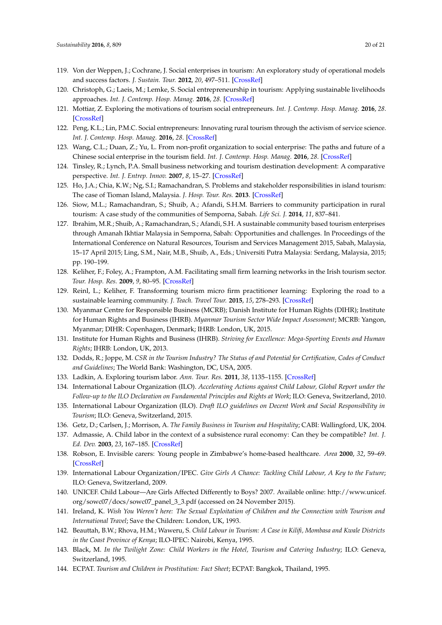- <span id="page-19-0"></span>119. Von der Weppen, J.; Cochrane, J. Social enterprises in tourism: An exploratory study of operational models and success factors. *J. Sustain. Tour.* **2012**, *20*, 497–511. [\[CrossRef\]](http://dx.doi.org/10.1080/09669582.2012.663377)
- 120. Christoph, G.; Laeis, M.; Lemke, S. Social entrepreneurship in tourism: Applying sustainable livelihoods approaches. *Int. J. Contemp. Hosp. Manag.* **2016**, *28*. [\[CrossRef\]](http://dx.doi.org/10.1108/IJCHM-05-2014-0235)
- 121. Mottiar, Z. Exploring the motivations of tourism social entrepreneurs. *Int. J. Contemp. Hosp. Manag.* **2016**, *28*. [\[CrossRef\]](http://dx.doi.org/10.1108/IJCHM-06-2014-0278)
- 122. Peng, K.L.; Lin, P.M.C. Social entrepreneurs: Innovating rural tourism through the activism of service science. *Int. J. Contemp. Hosp. Manag.* **2016**, *28*. [\[CrossRef\]](http://dx.doi.org/10.1108/IJCHM-12-2014-0611)
- <span id="page-19-1"></span>123. Wang, C.L.; Duan, Z.; Yu, L. From non-profit organization to social enterprise: The paths and future of a Chinese social enterprise in the tourism field. *Int. J. Contemp. Hosp. Manag.* **2016**, *28*. [\[CrossRef\]](http://dx.doi.org/10.1108/IJCHM-05-2014-0230)
- <span id="page-19-2"></span>124. Tinsley, R.; Lynch, P.A. Small business networking and tourism destination development: A comparative perspective. *Int. J. Entrep. Innov.* **2007**, *8*, 15–27. [\[CrossRef\]](http://dx.doi.org/10.5367/000000007780007380)
- <span id="page-19-3"></span>125. Ho, J.A.; Chia, K.W.; Ng, S.I.; Ramachandran, S. Problems and stakeholder responsibilities in island tourism: The case of Tioman Island, Malaysia. *J. Hosp. Tour. Res.* **2013**. [\[CrossRef\]](http://dx.doi.org/10.1177/1096348013515912)
- <span id="page-19-4"></span>126. Siow, M.L.; Ramachandran, S.; Shuib, A.; Afandi, S.H.M. Barriers to community participation in rural tourism: A case study of the communities of Semporna, Sabah. *Life Sci. J.* **2014**, *11*, 837–841.
- <span id="page-19-5"></span>127. Ibrahim, M.R.; Shuib, A.; Ramachandran, S.; Afandi, S.H. A sustainable community based tourism enterprises through Amanah Ikhtiar Malaysia in Semporna, Sabah: Opportunities and challenges. In Proceedings of the International Conference on Natural Resources, Tourism and Services Management 2015, Sabah, Malaysia, 15–17 April 2015; Ling, S.M., Nair, M.B., Shuib, A., Eds.; Universiti Putra Malaysia: Serdang, Malaysia, 2015; pp. 190–199.
- <span id="page-19-6"></span>128. Keliher, F.; Foley, A.; Frampton, A.M. Facilitating small firm learning networks in the Irish tourism sector. *Tour. Hosp. Res.* **2009**, *9*, 80–95. [\[CrossRef\]](http://dx.doi.org/10.1057/thr.2008.36)
- <span id="page-19-7"></span>129. Reinl, L.; Keliher, F. Transforming tourism micro firm practitioner learning: Exploring the road to a sustainable learning community. *J. Teach. Travel Tour.* **2015**, *15*, 278–293. [\[CrossRef\]](http://dx.doi.org/10.1080/15313220.2015.1064338)
- <span id="page-19-8"></span>130. Myanmar Centre for Responsible Business (MCRB); Danish Institute for Human Rights (DIHR); Institute for Human Rights and Business (IHRB). *Myanmar Tourism Sector Wide Impact Assessment*; MCRB: Yangon, Myanmar; DIHR: Copenhagen, Denmark; IHRB: London, UK, 2015.
- <span id="page-19-9"></span>131. Institute for Human Rights and Business (IHRB). *Striving for Excellence: Mega-Sporting Events and Human Rights*; IHRB: London, UK, 2013.
- <span id="page-19-10"></span>132. Dodds, R.; Joppe, M. *CSR in the Tourism Industry? The Status of and Potential for Certification, Codes of Conduct and Guidelines*; The World Bank: Washington, DC, USA, 2005.
- <span id="page-19-11"></span>133. Ladkin, A. Exploring tourism labor. *Ann. Tour. Res.* **2011**, *38*, 1135–1155. [\[CrossRef\]](http://dx.doi.org/10.1016/j.annals.2011.03.010)
- <span id="page-19-12"></span>134. International Labour Organization (ILO). *Accelerating Actions against Child Labour, Global Report under the Follow-up to the ILO Declaration on Fundamental Principles and Rights at Work*; ILO: Geneva, Switzerland, 2010.
- <span id="page-19-13"></span>135. International Labour Organization (ILO). *Draft ILO guidelines on Decent Work and Social Responsibility in Tourism*; ILO: Geneva, Switzerland, 2015.
- <span id="page-19-14"></span>136. Getz, D.; Carlsen, J.; Morrison, A. *The Family Business in Tourism and Hospitality*; CABI: Wallingford, UK, 2004.
- <span id="page-19-15"></span>137. Admassie, A. Child labor in the context of a subsistence rural economy: Can they be compatible? *Int. J. Ed. Dev.* **2003**, *23*, 167–185. [\[CrossRef\]](http://dx.doi.org/10.1016/S0738-0593(02)00012-3)
- <span id="page-19-16"></span>138. Robson, E. Invisible carers: Young people in Zimbabwe's home-based healthcare. *Area* **2000**, *32*, 59–69. [\[CrossRef\]](http://dx.doi.org/10.1111/j.1475-4762.2000.tb00115.x)
- <span id="page-19-17"></span>139. International Labour Organization/IPEC. *Give Girls A Chance: Tackling Child Labour, A Key to the Future*; ILO: Geneva, Switzerland, 2009.
- <span id="page-19-18"></span>140. UNICEF. Child Labour—Are Girls Affected Differently to Boys? 2007. Available online: [http://www.unicef.](http://www.unicef.org/sowc07/docs/sowc07_panel_3_3.pdf) [org/sowc07/docs/sowc07\\_panel\\_3\\_3.pdf](http://www.unicef.org/sowc07/docs/sowc07_panel_3_3.pdf) (accessed on 24 November 2015).
- <span id="page-19-19"></span>141. Ireland, K. *Wish You Weren't here: The Sexual Exploitation of Children and the Connection with Tourism and International Travel*; Save the Children: London, UK, 1993.
- <span id="page-19-20"></span>142. Beauttah, B.W.; Rhova, H.M.; Waweru, S. *Child Labour in Tourism: A Case in Kilifi, Mombasa and Kwale Districts in the Coast Province of Kenya*; ILO-IPEC: Nairobi, Kenya, 1995.
- <span id="page-19-21"></span>143. Black, M. *In the Twilight Zone: Child Workers in the Hotel, Tourism and Catering Industry*; ILO: Geneva, Switzerland, 1995.
- <span id="page-19-22"></span>144. ECPAT. *Tourism and Children in Prostitution: Fact Sheet*; ECPAT: Bangkok, Thailand, 1995.